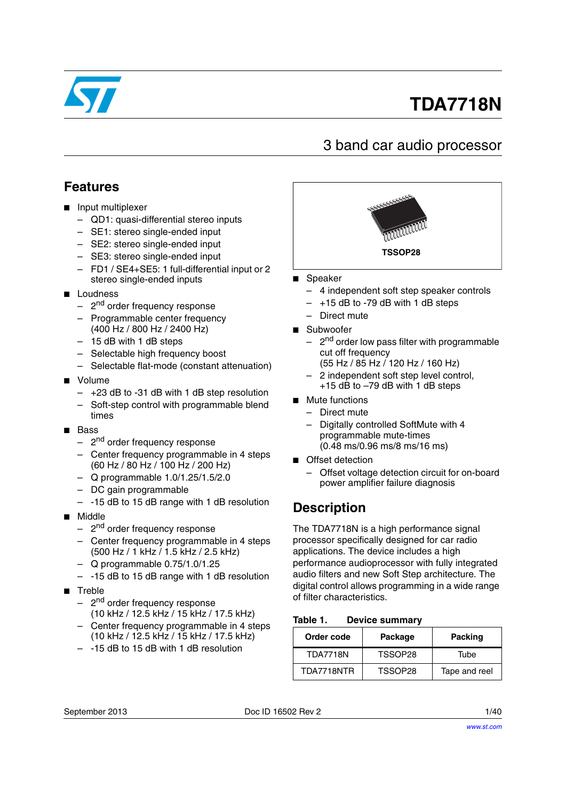

# **TDA7718N**

# 3 band car audio processor

# **Features**

- Input multiplexer
	- QD1: quasi-differential stereo inputs
	- SE1: stereo single-ended input
	- SE2: stereo single-ended input
	- SE3: stereo single-ended input
	- FD1 / SE4+SE5: 1 full-differential input or 2 stereo single-ended inputs
- Loudness
	- 2<sup>nd</sup> order frequency response
	- Programmable center frequency (400 Hz / 800 Hz / 2400 Hz)
	- 15 dB with 1 dB steps
	- Selectable high frequency boost
	- Selectable flat-mode (constant attenuation)
- Volume
	- +23 dB to -31 dB with 1 dB step resolution
	- Soft-step control with programmable blend times
- Bass
	- 2<sup>nd</sup> order frequency response
	- Center frequency programmable in 4 steps (60 Hz / 80 Hz / 100 Hz / 200 Hz)
	- Q programmable 1.0/1.25/1.5/2.0
	- DC gain programmable
	- -15 dB to 15 dB range with 1 dB resolution
- Middle
	- 2<sup>nd</sup> order frequency response
	- Center frequency programmable in 4 steps (500 Hz / 1 kHz / 1.5 kHz / 2.5 kHz)
	- Q programmable 0.75/1.0/1.25
	- -15 dB to 15 dB range with 1 dB resolution
- Treble
	- 2<sup>nd</sup> order frequency response (10 kHz / 12.5 kHz / 15 kHz / 17.5 kHz)
	- Center frequency programmable in 4 steps (10 kHz / 12.5 kHz / 15 kHz / 17.5 kHz)
	- -15 dB to 15 dB with 1 dB resolution



- **Speaker** 
	- 4 independent soft step speaker controls
	- $-$  +15 dB to -79 dB with 1 dB steps
	- Direct mute
- Subwoofer
	- 2<sup>nd</sup> order low pass filter with programmable cut off frequency
	- (55 Hz / 85 Hz / 120 Hz / 160 Hz)
	- 2 independent soft step level control, +15 dB to –79 dB with 1 dB steps
- Mute functions
	- Direct mute
	- Digitally controlled SoftMute with 4 programmable mute-times (0.48 ms/0.96 ms/8 ms/16 ms)
- Offset detection
	- Offset voltage detection circuit for on-board power amplifier failure diagnosis

# **Description**

The TDA7718N is a high performance signal processor specifically designed for car radio applications. The device includes a high performance audioprocessor with fully integrated audio filters and new Soft Step architecture. The digital control allows programming in a wide range of filter characteristics.

#### <span id="page-0-0"></span>Table 1. **Device summary**

| Order code      | Package | <b>Packing</b> |
|-----------------|---------|----------------|
| <b>TDA7718N</b> | TSSOP28 | Tube           |
| TDA7718NTR      | TSSOP28 | Tape and reel  |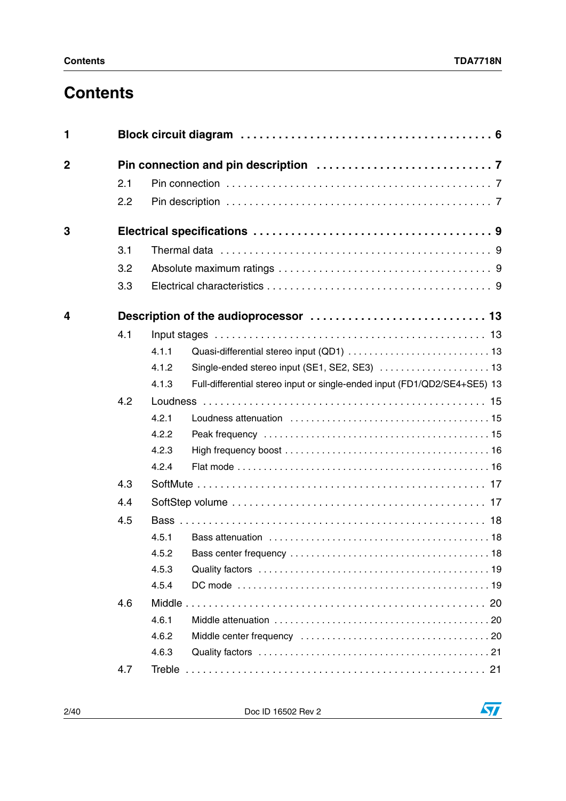# **Contents**

| 1           |     |        |                                                                           |
|-------------|-----|--------|---------------------------------------------------------------------------|
| $\mathbf 2$ |     |        |                                                                           |
|             | 2.1 |        |                                                                           |
|             | 2.2 |        |                                                                           |
| 3           |     |        |                                                                           |
|             | 3.1 |        |                                                                           |
|             | 3.2 |        |                                                                           |
|             | 3.3 |        |                                                                           |
| 4           |     |        |                                                                           |
|             | 4.1 |        |                                                                           |
|             |     | 4.1.1  |                                                                           |
|             |     | 4.1.2  | Single-ended stereo input (SE1, SE2, SE3)  13                             |
|             |     | 4.1.3  | Full-differential stereo input or single-ended input (FD1/QD2/SE4+SE5) 13 |
|             | 4.2 |        |                                                                           |
|             |     | 4.2.1  |                                                                           |
|             |     | 4.2.2  |                                                                           |
|             |     | 4.2.3  |                                                                           |
|             |     | 4.2.4  |                                                                           |
|             | 4.3 |        |                                                                           |
|             | 4.4 |        |                                                                           |
|             | 4.5 |        |                                                                           |
|             |     | 4.5.1  |                                                                           |
|             |     |        |                                                                           |
|             |     | 4.5.3  |                                                                           |
|             |     | 4.5.4  |                                                                           |
|             | 4.6 |        |                                                                           |
|             |     | 4.6.1  |                                                                           |
|             |     | 4.6.2  |                                                                           |
|             |     | 4.6.3  |                                                                           |
|             | 4.7 | Treble |                                                                           |

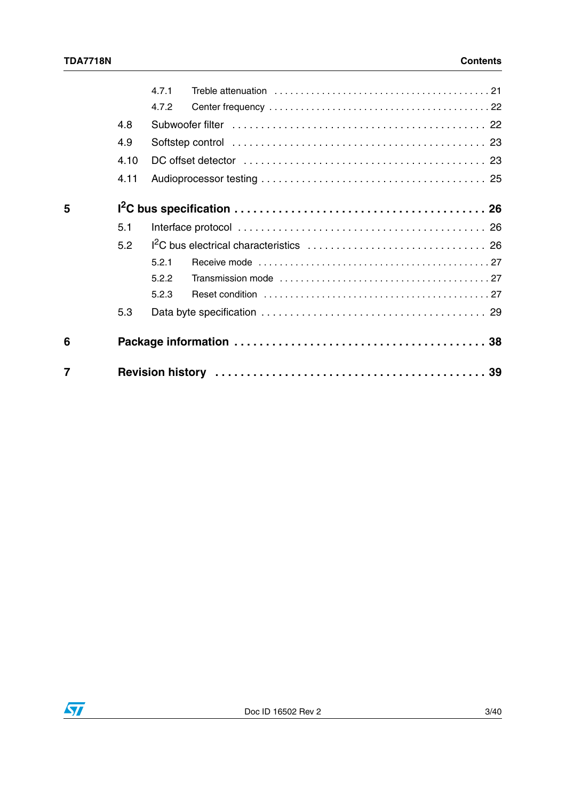| $\overline{7}$ |      |       |  |
|----------------|------|-------|--|
| 6              |      |       |  |
|                | 5.3  |       |  |
|                |      | 5.2.3 |  |
|                |      | 5.2.2 |  |
|                |      | 5.2.1 |  |
|                | 5.2  |       |  |
|                | 5.1  |       |  |
| 5              |      |       |  |
|                | 4.11 |       |  |
|                | 4.10 |       |  |
|                | 4.9  |       |  |
|                | 4.8  |       |  |
|                |      | 4.7.2 |  |
|                |      | 471   |  |

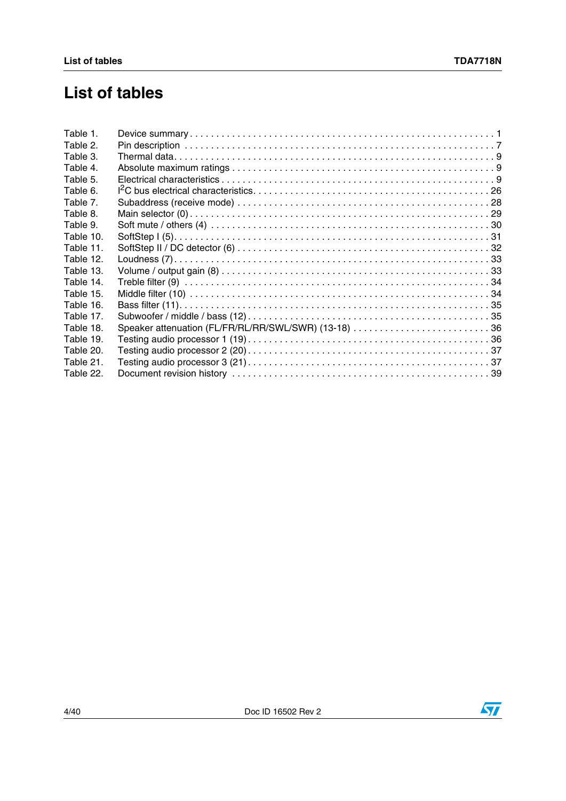# **List of tables**

| Table 1.  |  |
|-----------|--|
| Table 2.  |  |
| Table 3.  |  |
| Table 4.  |  |
| Table 5.  |  |
| Table 6.  |  |
| Table 7.  |  |
| Table 8.  |  |
| Table 9.  |  |
| Table 10. |  |
| Table 11. |  |
| Table 12. |  |
| Table 13. |  |
| Table 14. |  |
| Table 15. |  |
| Table 16. |  |
| Table 17. |  |
| Table 18. |  |
| Table 19. |  |
| Table 20. |  |
| Table 21. |  |
| Table 22. |  |
|           |  |

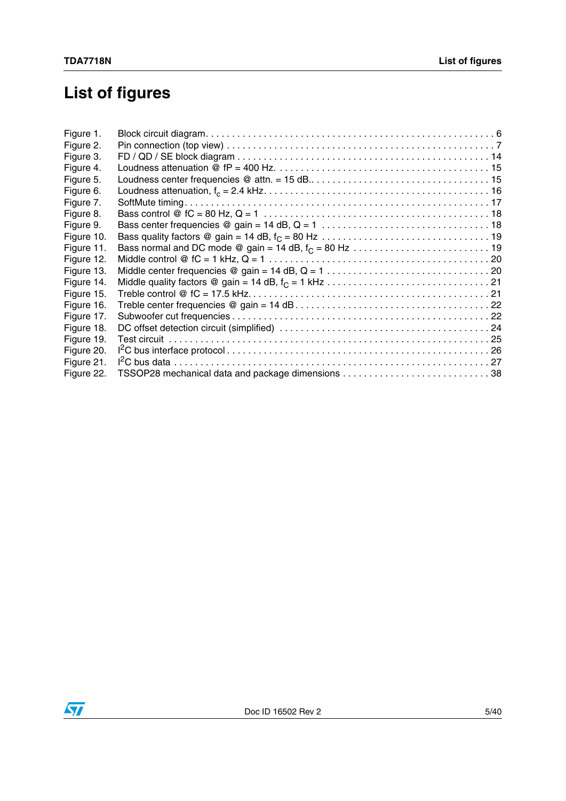# **List of figures**

| Figure 1.  |  |
|------------|--|
| Figure 2.  |  |
| Figure 3.  |  |
| Figure 4.  |  |
| Figure 5.  |  |
| Figure 6.  |  |
| Figure 7.  |  |
| Figure 8.  |  |
| Figure 9.  |  |
| Figure 10. |  |
| Figure 11. |  |
| Figure 12. |  |
| Figure 13. |  |
| Figure 14. |  |
| Figure 15. |  |
| Figure 16. |  |
| Figure 17. |  |
| Figure 18. |  |
| Figure 19. |  |
| Figure 20. |  |
| Figure 21. |  |
| Figure 22. |  |

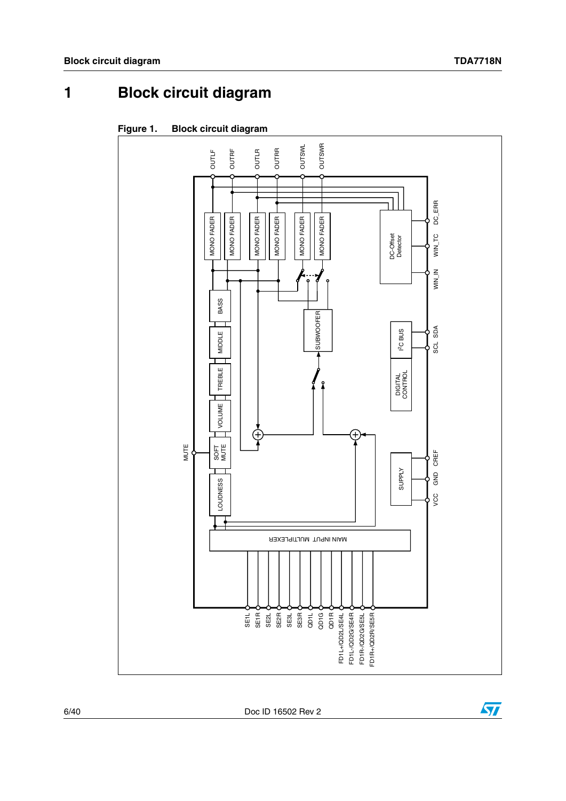<span id="page-5-0"></span>**1 Block circuit diagram**

<span id="page-5-1"></span>



6/40 Doc ID 16502 Rev 2

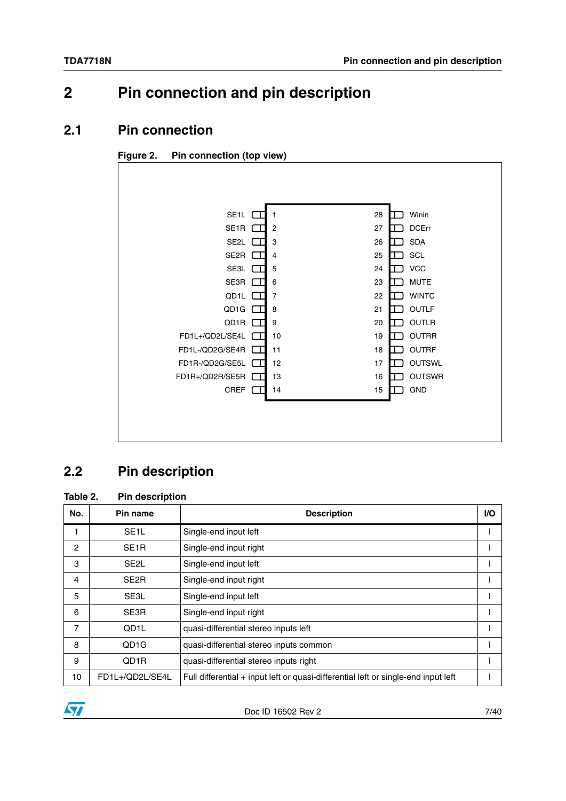# <span id="page-6-0"></span>**2 Pin connection and pin description**

### <span id="page-6-1"></span>**2.1 Pin connection**

<span id="page-6-4"></span>

| SE <sub>1</sub> L               | 1              | 28<br>Winin         |
|---------------------------------|----------------|---------------------|
| SE <sub>1</sub> R               | $\overline{2}$ | <b>DCErr</b><br>27  |
| SE2L                            | 3              | <b>SDA</b><br>26    |
| SE2R                            | 4              | SCL<br>25           |
| SE3L                            | 5              | <b>VCC</b><br>24    |
| SE3R                            | 6              | <b>MUTE</b><br>23   |
| QD1L                            | $\overline{7}$ | <b>WINTC</b><br>22  |
| QD1G<br>- 11                    | 8              | <b>OUTLF</b><br>21  |
| QD1R<br>- 11                    | 9              | OUTLR<br>20         |
| FD1L+/QD2L/SE4L                 | 10             | <b>OUTRR</b><br>19  |
| FD1L-/QD2G/SE4R                 | 11             | <b>OUTRF</b><br>18  |
| FD1R-/QD2G/SE5L                 | 12             | <b>OUTSWL</b><br>17 |
| FD1R+/QD2R/SE5R<br>$\mathbf{u}$ | 13             | <b>OUTSWR</b><br>16 |
| <b>CREF</b>                     | 14             | GND<br>15           |
|                                 |                |                     |
|                                 |                |                     |
|                                 |                |                     |
|                                 |                |                     |

# <span id="page-6-2"></span>**2.2 Pin description**

#### <span id="page-6-3"></span>**Table 2. Pin description**

| No. | Pin name          | <b>Description</b>                                                                   | <b>VO</b> |
|-----|-------------------|--------------------------------------------------------------------------------------|-----------|
|     | SE <sub>1</sub> L | Single-end input left                                                                |           |
| 2   | SE <sub>1</sub> R | Single-end input right                                                               |           |
| 3   | SE <sub>2</sub> L | Single-end input left                                                                |           |
| 4   | SE <sub>2</sub> R | Single-end input right                                                               |           |
| 5   | SE3L              | Single-end input left                                                                |           |
| 6   | SE3R              | Single-end input right                                                               |           |
| 7   | QD1L              | quasi-differential stereo inputs left                                                |           |
| 8   | QD <sub>1</sub> G | quasi-differential stereo inputs common                                              |           |
| 9   | QD1R              | quasi-differential stereo inputs right                                               |           |
| 10  | FD1L+/QD2L/SE4L   | Full differential $+$ input left or quasi-differential left or single-end input left |           |

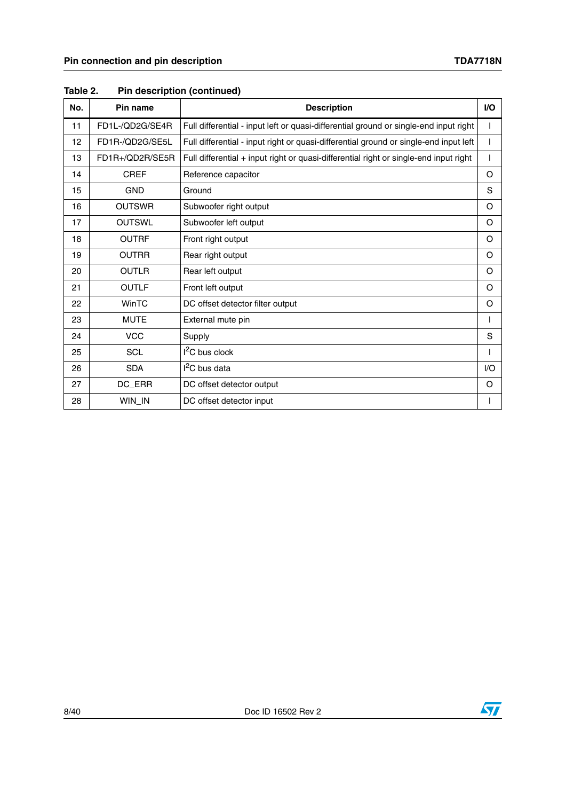| No. | Pin name        | <b>Description</b>                                                                    | <b>VO</b> |
|-----|-----------------|---------------------------------------------------------------------------------------|-----------|
| 11  | FD1L-/QD2G/SE4R | Full differential - input left or quasi-differential ground or single-end input right |           |
| 12  | FD1R-/QD2G/SE5L | Full differential - input right or quasi-differential ground or single-end input left |           |
| 13  | FD1R+/QD2R/SE5R | Full differential + input right or quasi-differential right or single-end input right |           |
| 14  | <b>CREF</b>     | Reference capacitor                                                                   | O         |
| 15  | <b>GND</b>      | Ground                                                                                | S         |
| 16  | <b>OUTSWR</b>   | Subwoofer right output                                                                | O         |
| 17  | <b>OUTSWL</b>   | Subwoofer left output                                                                 | O         |
| 18  | <b>OUTRF</b>    | Front right output                                                                    | O         |
| 19  | <b>OUTRR</b>    | Rear right output                                                                     | O         |
| 20  | <b>OUTLR</b>    | Rear left output                                                                      | O         |
| 21  | <b>OUTLF</b>    | Front left output                                                                     | O         |
| 22  | WinTC           | DC offset detector filter output                                                      | O         |
| 23  | <b>MUTE</b>     | External mute pin                                                                     |           |
| 24  | <b>VCC</b>      | Supply                                                                                | S         |
| 25  | <b>SCL</b>      | $I2C$ bus clock                                                                       |           |
| 26  | <b>SDA</b>      | $I2C$ bus data                                                                        | 1/O       |
| 27  | DC_ERR          | DC offset detector output                                                             | O         |
| 28  | WIN_IN          | DC offset detector input                                                              |           |

#### **Table 2. Pin description (continued)**



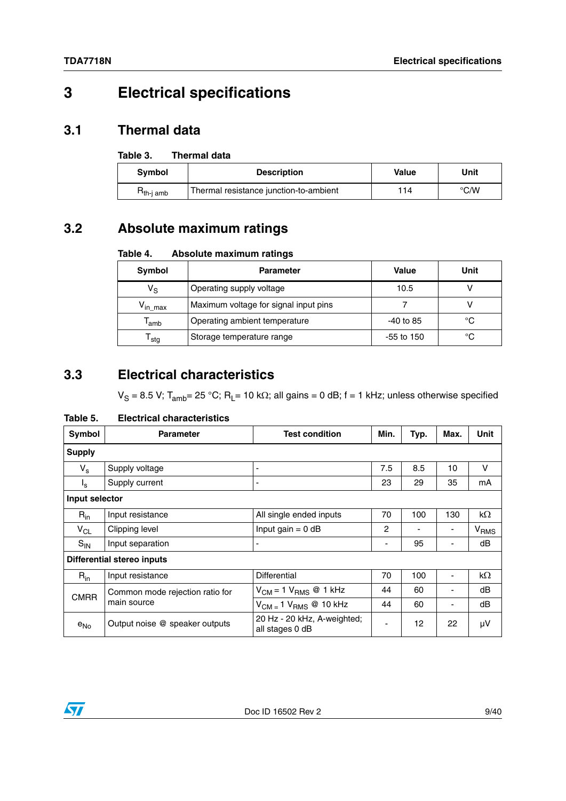# <span id="page-8-0"></span>**3 Electrical specifications**

# <span id="page-8-1"></span>**3.1 Thermal data**

#### <span id="page-8-4"></span>Table 3. **Thermal data**

| <b>Symbol</b>                   | <b>Description</b>                     | Value | Unit |
|---------------------------------|----------------------------------------|-------|------|
| ${\sf H}_{\sf th\text{-}i}$ amb | Thermal resistance junction-to-ambient | 114   | °C/W |

# <span id="page-8-2"></span>**3.2 Absolute maximum ratings**

#### <span id="page-8-5"></span>Table 4. **Absolute maximum ratings**

| Symbol                        | <b>Parameter</b>                      |             | Unit |
|-------------------------------|---------------------------------------|-------------|------|
| $V_{\rm S}$                   | Operating supply voltage              | 10.5        |      |
| $V_{\text{in} \, \text{max}}$ | Maximum voltage for signal input pins |             |      |
| $\mathsf{r}_{\mathsf{amb}}$   | Operating ambient temperature         | $-40$ to 85 | °C   |
| $\mathsf{r}_{\mathsf{stg}}$   | Storage temperature range             | -55 to 150  | °C   |

# <span id="page-8-3"></span>**3.3 Electrical characteristics**

 $V_S = 8.5$  V; T<sub>amb</sub>= 25 °C; R<sub>L</sub>= 10 k $\Omega$ ; all gains = 0 dB; f = 1 kHz; unless otherwise specified

#### <span id="page-8-6"></span>**Table 5. Electrical characteristics**

| Symbol         | <b>Parameter</b>                  | <b>Test condition</b>                          | Min. | Typ. | Max. | <b>Unit</b>      |
|----------------|-----------------------------------|------------------------------------------------|------|------|------|------------------|
| <b>Supply</b>  |                                   |                                                |      |      |      |                  |
| $V_{\rm s}$    | Supply voltage                    |                                                | 7.5  | 8.5  | 10   | v                |
| $I_{\rm s}$    | Supply current                    |                                                | 23   | 29   | 35   | mA               |
| Input selector |                                   |                                                |      |      |      |                  |
| $R_{in}$       | Input resistance                  | All single ended inputs                        | 70   | 100  | 130  | $k\Omega$        |
| $V_{CL}$       | Clipping level                    | Input gain $= 0$ dB                            | 2    |      |      | V <sub>RMS</sub> |
| $S_{IN}$       | Input separation                  |                                                | -    | 95   |      | dB               |
|                | <b>Differential stereo inputs</b> |                                                |      |      |      |                  |
| $R_{in}$       | Input resistance                  | <b>Differential</b>                            | 70   | 100  |      | kΩ               |
| <b>CMRR</b>    | Common mode rejection ratio for   | $V_{CM}$ = 1 $V_{RMS}$ @ 1 kHz                 | 44   | 60   | ۰    | dB               |
|                | main source                       | $V_{CM} = 1 V_{RMS} @ 10 kHz$                  | 44   | 60   | ۰    | dB               |
| $e_{No}$       | Output noise @ speaker outputs    | 20 Hz - 20 kHz, A-weighted;<br>all stages 0 dB | -    | 12   | 22   | μV               |

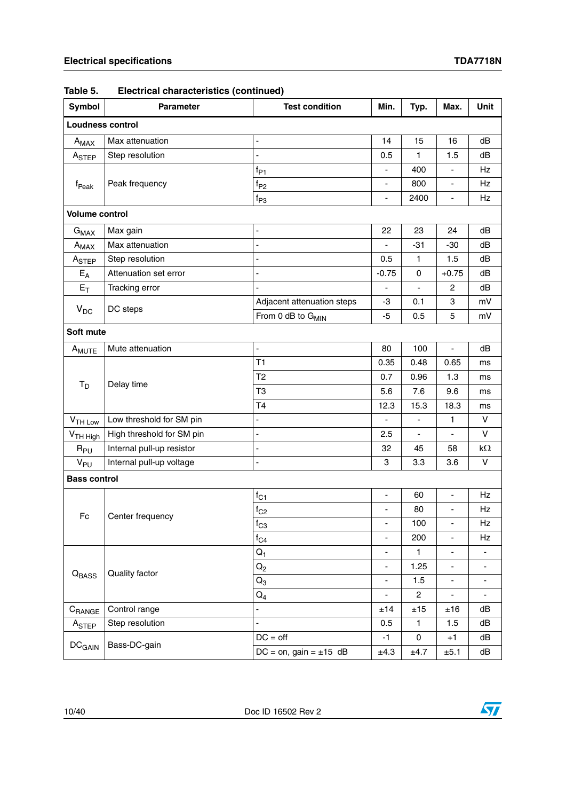| Symbol                       | Parameter                 | `<br><b>Test condition</b>    | Min.                     | Typ.                     | Max.                         | Unit                     |  |
|------------------------------|---------------------------|-------------------------------|--------------------------|--------------------------|------------------------------|--------------------------|--|
| Loudness control             |                           |                               |                          |                          |                              |                          |  |
| $A_{MAX}$                    | Max attenuation           | ÷,                            | 14                       | 15                       | 16                           | dB                       |  |
| A <sub>STEP</sub>            | Step resolution           | $\overline{a}$                | 0.5                      | $\mathbf{1}$             | 1.5                          | dB                       |  |
|                              |                           | $f_{P1}$                      | -                        | 400                      |                              | Hz                       |  |
| f <sub>Peak</sub>            | Peak frequency            | $f_{P2}$                      | ä,                       | 800                      | $\qquad \qquad \blacksquare$ | Hz                       |  |
|                              |                           | $f_{P3}$                      | $\overline{\phantom{a}}$ | 2400                     | $\blacksquare$               | Hz                       |  |
| <b>Volume control</b>        |                           |                               |                          |                          |                              |                          |  |
| $G_{MAX}$                    | Max gain                  | $\blacksquare$                | 22                       | 23                       | 24                           | dB                       |  |
| $A_{MAX}$                    | Max attenuation           | ÷,                            | ÷                        | $-31$                    | $-30$                        | dB                       |  |
| A <sub>STEP</sub>            | Step resolution           | ä,                            | 0.5                      | $\mathbf{1}$             | 1.5                          | dB                       |  |
| $E_A$                        | Attenuation set error     | ä,                            | $-0.75$                  | 0                        | $+0.75$                      | dB                       |  |
| $E_T$                        | Tracking error            | ä,                            | $\overline{\phantom{a}}$ |                          | $\overline{c}$               | dB                       |  |
|                              |                           | Adjacent attenuation steps    | -3                       | 0.1                      | 3                            | mV                       |  |
| $V_{DC}$                     | DC steps                  | From 0 dB to G <sub>MIN</sub> | $-5$                     | 0.5                      | 5                            | mV                       |  |
| Soft mute                    |                           |                               |                          |                          |                              |                          |  |
| A <sub>MUTE</sub>            | Mute attenuation          | ÷,                            | 80                       | 100                      | $\blacksquare$               | dB                       |  |
|                              | Delay time                | T1                            | 0.35                     | 0.48                     | 0.65                         | ms                       |  |
|                              |                           | T <sub>2</sub>                | 0.7                      | 0.96                     | 1.3                          | ms                       |  |
| $T_D$                        |                           | T <sub>3</sub>                | 5.6                      | 7.6                      | 9.6                          | ms                       |  |
|                              |                           | T4                            | 12.3                     | 15.3                     | 18.3                         | ms                       |  |
| $VTH$ Low                    | Low threshold for SM pin  | ÷,                            |                          |                          | $\mathbf{1}$                 | V                        |  |
| V <sub>TH High</sub>         | High threshold for SM pin | $\blacksquare$                | 2.5                      | $\overline{\phantom{a}}$ | ä,                           | V                        |  |
| $R_{PU}$                     | Internal pull-up resistor | ä,                            | 32                       | 45                       | 58                           | $k\Omega$                |  |
| V <sub>PU</sub>              | Internal pull-up voltage  | ÷,                            | 3                        | 3.3                      | 3.6                          | V                        |  |
| <b>Bass control</b>          |                           |                               |                          |                          |                              |                          |  |
|                              |                           | $f_{C1}$                      | $\overline{\phantom{a}}$ | 60                       | $\blacksquare$               | Hz                       |  |
|                              |                           | $f_{C2}$                      | $\overline{\phantom{a}}$ | 80                       | $\blacksquare$               | Hz                       |  |
| Fc                           | Center frequency          | $t_{C3}$                      | -                        | 100                      |                              | Hz                       |  |
|                              |                           | $f_{C4}$                      | ä,                       | 200                      | $\blacksquare$               | Hz                       |  |
|                              |                           | $Q_1$                         | -                        | 1                        |                              |                          |  |
|                              | Quality factor            | $Q_2$                         | ÷,                       | 1.25                     | $\blacksquare$               | ÷,                       |  |
| $\mathsf{Q}_{\mathsf{BASS}}$ |                           | $Q_3$                         | $\overline{\phantom{0}}$ | 1.5                      | $\qquad \qquad \blacksquare$ |                          |  |
|                              |                           | ${\sf Q}_4$                   | ÷.                       | $\overline{c}$           | ÷,                           | $\overline{\phantom{a}}$ |  |
| $C_{\mathsf{RANGE}}$         | Control range             |                               | ±14                      | ±15                      | ±16                          | dB                       |  |
| A <sub>STEP</sub>            | Step resolution           | ÷,                            | 0.5                      | $\mathbf{1}$             | 1.5                          | dB                       |  |
|                              | Bass-DC-gain              | $DC = off$                    | $-1$                     | 0                        | $+1$                         | dB                       |  |
| $DC_{GAN}$                   |                           | DC = on, gain = $\pm 15$ dB   | ±4.3                     | ±4.7                     | ±5.1                         | dB                       |  |

#### **Table 5. Electrical characteristics (continued)**

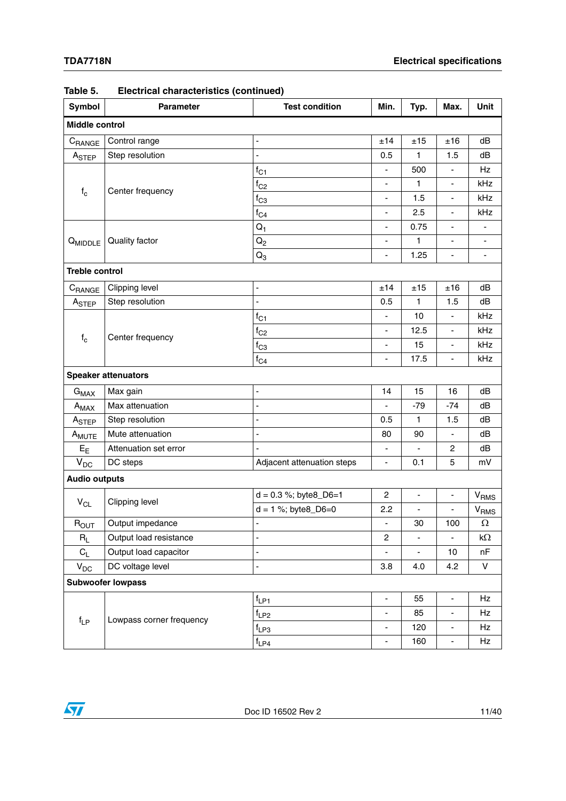| Symbol                     | <b>Parameter</b>         | <b>Test condition</b>      | Min.                         | Typ.                         | Max.                         | Unit                        |  |  |
|----------------------------|--------------------------|----------------------------|------------------------------|------------------------------|------------------------------|-----------------------------|--|--|
| Middle control             |                          |                            |                              |                              |                              |                             |  |  |
| CRANGE                     | Control range            | $\overline{a}$             | ±14                          | ±15                          | ±16                          | dB                          |  |  |
| A <sub>STEP</sub>          | Step resolution          | $\overline{a}$             | 0.5                          | $\mathbf{1}$                 | 1.5                          | dB                          |  |  |
|                            |                          | $f_{C1}$                   |                              | 500                          |                              | Hz                          |  |  |
| $\mathsf{f}_\mathsf{c}$    |                          | $f_{C2}$                   | L,                           | $\mathbf{1}$                 | ä,                           | kHz                         |  |  |
|                            | Center frequency         | $f_{C3}$                   |                              | 1.5                          | $\qquad \qquad \blacksquare$ | kHz                         |  |  |
|                            |                          | $f_{C4}$                   | ÷,                           | 2.5                          | ÷,                           | kHz                         |  |  |
|                            |                          | $Q_1$                      | -                            | 0.75                         |                              |                             |  |  |
| $Q_{MIDDLE}$               | Quality factor           | $Q_2$                      | -                            | $\mathbf{1}$                 | ä,                           |                             |  |  |
|                            |                          | $Q_3$                      | $\qquad \qquad \blacksquare$ | 1.25                         | $\overline{\phantom{0}}$     | ۰                           |  |  |
| <b>Treble control</b>      |                          |                            |                              |                              |                              |                             |  |  |
| CRANGE                     | Clipping level           | ÷,                         | ±14                          | ±15                          | ±16                          | dB                          |  |  |
| A <sub>STEP</sub>          | Step resolution          | 4                          | 0.5                          | 1                            | 1.5                          | dB                          |  |  |
|                            |                          | $f_{C1}$                   |                              | 10                           | ÷,                           | kHz                         |  |  |
|                            |                          | $f_{C2}$                   |                              | 12.5                         | $\qquad \qquad \blacksquare$ | kHz                         |  |  |
| $\mathsf{f}_\mathsf{c}$    | Center frequency         | $f_{C3}$                   | ÷,                           | 15                           | ÷,                           | kHz                         |  |  |
|                            |                          | $f_{C4}$                   |                              | 17.5                         | $\overline{\phantom{a}}$     | kHz                         |  |  |
| <b>Speaker attenuators</b> |                          |                            |                              |                              |                              |                             |  |  |
| $G_{MAX}$                  | Max gain                 | -                          | 14                           | 15                           | 16                           | dB                          |  |  |
| $A_{MAX}$                  | Max attenuation          |                            | ۳                            | $-79$                        | $-74$                        | dB                          |  |  |
| A <sub>STEP</sub>          | Step resolution          | $\overline{a}$             | 0.5                          | 1                            | 1.5                          | dB                          |  |  |
| A <sub>MUTE</sub>          | Mute attenuation         | -                          | 80                           | 90                           | $\overline{\phantom{0}}$     | dB                          |  |  |
| $E_{E}$                    | Attenuation set error    |                            | ÷,                           |                              | $\overline{c}$               | dB                          |  |  |
| $V_{DC}$                   | DC steps                 | Adjacent attenuation steps | $\blacksquare$               | 0.1                          | 5                            | mV                          |  |  |
| <b>Audio outputs</b>       |                          |                            |                              |                              |                              |                             |  |  |
|                            |                          | $d = 0.3$ %; byte8_D6=1    | $\overline{c}$               | $\qquad \qquad \blacksquare$ | $\overline{\phantom{0}}$     | $\mathsf{V}_{\mathsf{RMS}}$ |  |  |
| $V_{CL}$                   | Clipping level           | $d = 1$ %; byte8_D6=0      | 2.2                          | $\blacksquare$               | ÷,                           | $V_{RMS}$                   |  |  |
| $R_{OUT}$                  | Output impedance         |                            | $\overline{\phantom{0}}$     | 30                           | 100                          | 73                          |  |  |
| $R_L$                      | Output load resistance   |                            | $\overline{c}$               | $\overline{\phantom{0}}$     |                              | $k\Omega$                   |  |  |
| $C_L$                      | Output load capacitor    | $\overline{a}$             |                              |                              | 10                           | nF                          |  |  |
| $V_{DC}$                   | DC voltage level         |                            | 3.8                          | 4.0                          | 4.2                          | V                           |  |  |
|                            | <b>Subwoofer lowpass</b> |                            |                              |                              |                              |                             |  |  |
|                            |                          | $f_{LP1}$                  | ÷,                           | 55                           | $\blacksquare$               | Hz                          |  |  |
|                            |                          | $f_{LP2}$                  | ÷,                           | 85                           | ÷,                           | Hz                          |  |  |
| $f_{LP}$                   | Lowpass corner frequency | $f_{LP3}$                  | $\overline{\phantom{0}}$     | 120                          | $\overline{\phantom{a}}$     | Hz                          |  |  |
|                            |                          | $f_{LP4}$                  | ۳                            | 160                          | ÷,                           | Hz                          |  |  |

| <b>Electrical characteristics (continued)</b><br>Table 5. |  |
|-----------------------------------------------------------|--|
|-----------------------------------------------------------|--|

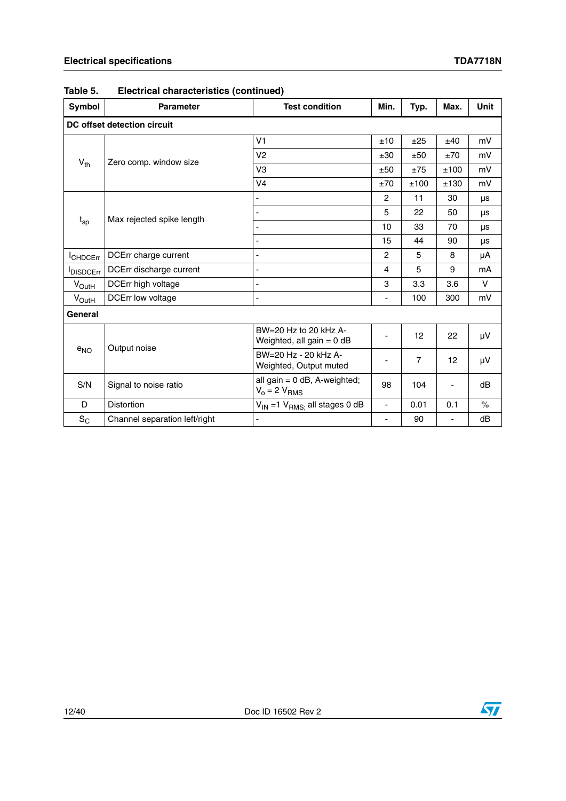| Symbol            | <b>Parameter</b>              | <b>Test condition</b>                                    | Min.                     | Typ.           | Max.                     | <b>Unit</b> |  |  |  |  |  |  |
|-------------------|-------------------------------|----------------------------------------------------------|--------------------------|----------------|--------------------------|-------------|--|--|--|--|--|--|
|                   | DC offset detection circuit   |                                                          |                          |                |                          |             |  |  |  |  |  |  |
|                   |                               | V <sub>1</sub>                                           | ±10                      | ±25            | ±40                      | mV          |  |  |  |  |  |  |
| $V_{th}$          | Zero comp. window size        | V <sub>2</sub>                                           | ±30                      | ±50            | ±70                      | mV          |  |  |  |  |  |  |
|                   |                               | V3                                                       | ±50                      | ±75            | ±100                     | mV          |  |  |  |  |  |  |
|                   |                               | V <sub>4</sub>                                           | ±70                      | ±100           | ±130                     | mV          |  |  |  |  |  |  |
|                   |                               |                                                          | $\overline{2}$           | 11             | 30                       | μs          |  |  |  |  |  |  |
| $t_{sp}$          | Max rejected spike length     |                                                          | 5                        | 22             | 50                       | μs          |  |  |  |  |  |  |
|                   |                               |                                                          | 10                       | 33             | 70                       | <b>US</b>   |  |  |  |  |  |  |
|                   |                               |                                                          | 15                       | 44             | 90                       | μs          |  |  |  |  |  |  |
| <b>CHDCErr</b>    | DCErr charge current          | ÷                                                        | $\overline{2}$           | 5              | 8                        | μA          |  |  |  |  |  |  |
| <b>IDISDCErr</b>  | DCErr discharge current       | ä,                                                       | 4                        | 5              | 9                        | mA          |  |  |  |  |  |  |
| $V_{\text{OutH}}$ | DCErr high voltage            | ÷,                                                       | 3                        | 3.3            | 3.6                      | V           |  |  |  |  |  |  |
| $V_{\text{OutH}}$ | <b>DCErr low voltage</b>      | L,                                                       | $\overline{\phantom{0}}$ | 100            | 300                      | mV          |  |  |  |  |  |  |
| General           |                               |                                                          |                          |                |                          |             |  |  |  |  |  |  |
|                   | Output noise                  | $BW = 20$ Hz to 20 kHz A-<br>Weighted, all gain $= 0$ dB | $\overline{\phantom{0}}$ | 12             | 22                       | μV          |  |  |  |  |  |  |
| $e_{NO}$          |                               | BW=20 Hz - 20 kHz A-<br>Weighted, Output muted           |                          | $\overline{7}$ | 12                       | μV          |  |  |  |  |  |  |
| S/N               | Signal to noise ratio         | all gain = 0 dB, A-weighted;<br>$V_0 = 2 V_{RMS}$        | 98                       | 104            | $\overline{\phantom{a}}$ | dB          |  |  |  |  |  |  |
| D                 | <b>Distortion</b>             | $V_{IN}$ =1 $V_{RMS}$ all stages 0 dB                    | ÷,                       | 0.01           | 0.1                      | $\%$        |  |  |  |  |  |  |
| $S_C$             | Channel separation left/right |                                                          | $\overline{\phantom{a}}$ | 90             | -                        | dB          |  |  |  |  |  |  |

**Table 5. Electrical characteristics (continued)**



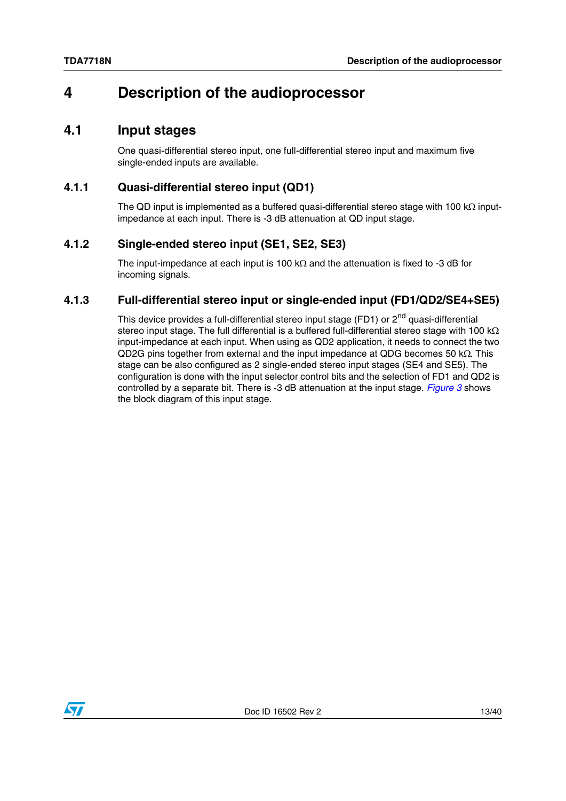# <span id="page-12-0"></span>**4 Description of the audioprocessor**

### <span id="page-12-1"></span>**4.1 Input stages**

One quasi-differential stereo input, one full-differential stereo input and maximum five single-ended inputs are available.

#### <span id="page-12-2"></span>**4.1.1 Quasi-differential stereo input (QD1)**

The QD input is implemented as a buffered quasi-differential stereo stage with 100 k $\Omega$  inputimpedance at each input. There is -3 dB attenuation at QD input stage.

#### <span id="page-12-3"></span>**4.1.2 Single-ended stereo input (SE1, SE2, SE3)**

The input-impedance at each input is 100  $k\Omega$  and the attenuation is fixed to -3 dB for incoming signals.

#### <span id="page-12-4"></span>**4.1.3 Full-differential stereo input or single-ended input (FD1/QD2/SE4+SE5)**

This device provides a full-differential stereo input stage (FD1) or 2<sup>nd</sup> quasi-differential stereo input stage. The full differential is a buffered full-differential stereo stage with 100 k $\Omega$ input-impedance at each input. When using as QD2 application, it needs to connect the two QD2G pins together from external and the input impedance at QDG becomes 50  $k\Omega$ . This stage can be also configured as 2 single-ended stereo input stages (SE4 and SE5). The configuration is done with the input selector control bits and the selection of FD1 and QD2 is controlled by a separate bit. There is -3 dB attenuation at the input stage. *[Figure 3](#page-13-0)* shows the block diagram of this input stage.

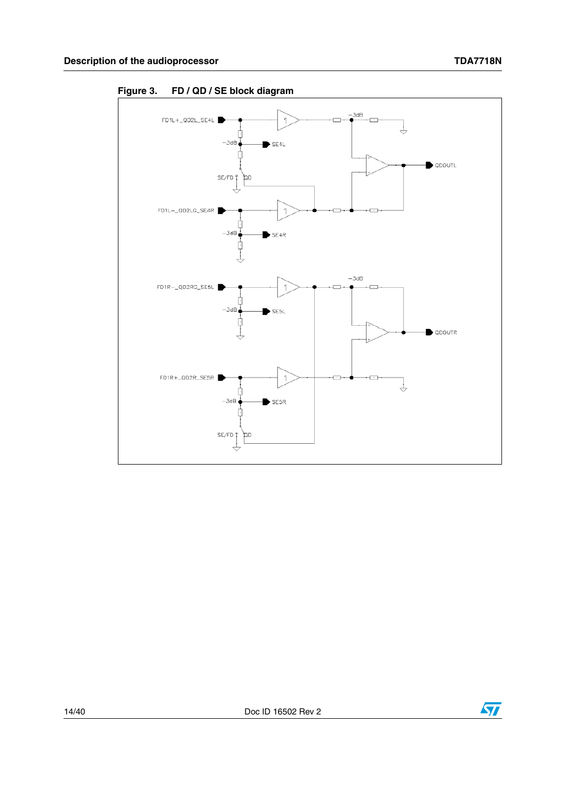

<span id="page-13-0"></span>**Figure 3. FD / QD / SE block diagram**



14/40 Doc ID 16502 Rev 2

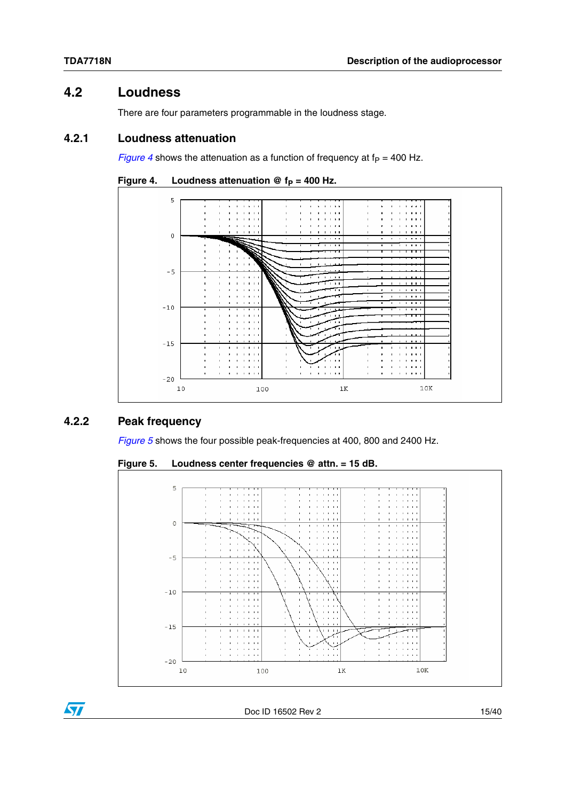# <span id="page-14-0"></span>**4.2 Loudness**

There are four parameters programmable in the loudness stage.

#### <span id="page-14-1"></span>**4.2.1 Loudness attenuation**

*[Figure 4](#page-14-3)* shows the attenuation as a function of frequency at  $f_P = 400$  Hz.



<span id="page-14-3"></span>

#### <span id="page-14-2"></span>**4.2.2 Peak frequency**

*[Figure 5](#page-14-4)* shows the four possible peak-frequencies at 400, 800 and 2400 Hz.

<span id="page-14-4"></span>



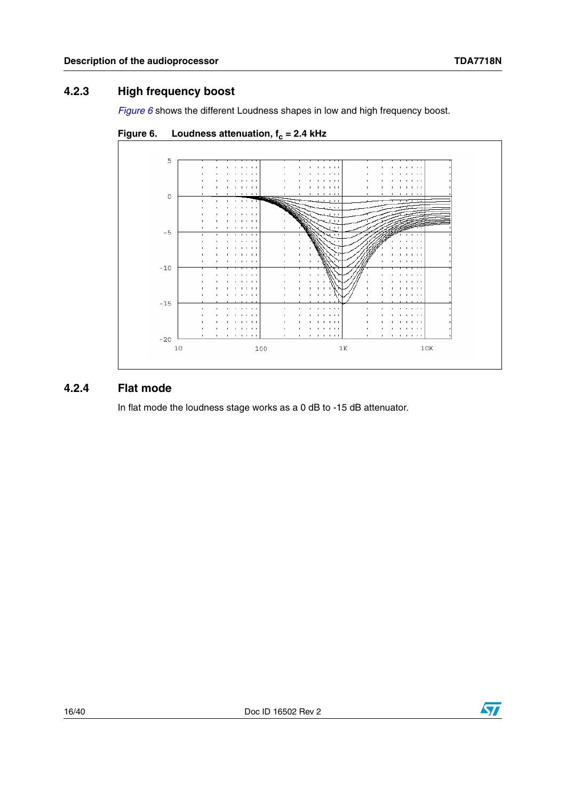### <span id="page-15-0"></span>**4.2.3 High frequency boost**

*[Figure 6](#page-15-2)* shows the different Loudness shapes in low and high frequency boost.



<span id="page-15-2"></span>

#### <span id="page-15-1"></span>**4.2.4 Flat mode**

In flat mode the loudness stage works as a 0 dB to -15 dB attenuator.

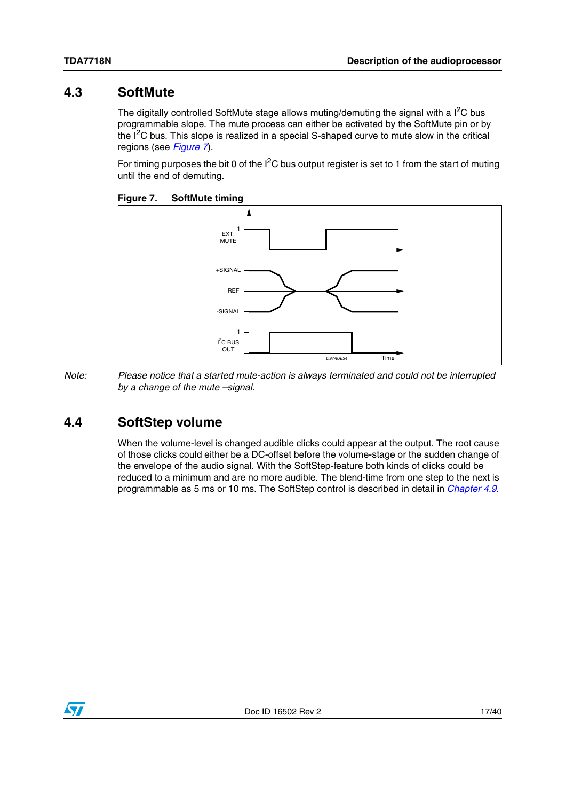### <span id="page-16-0"></span>**4.3 SoftMute**

The digitally controlled SoftMute stage allows muting/demuting the signal with a  $I^2C$  bus programmable slope. The mute process can either be activated by the SoftMute pin or by the  $I<sup>2</sup>C$  bus. This slope is realized in a special S-shaped curve to mute slow in the critical regions (see *[Figure 7](#page-16-2)*).

For timing purposes the bit 0 of the  $I^2C$  bus output register is set to 1 from the start of muting until the end of demuting.

<span id="page-16-2"></span>**Figure 7. SoftMute timing**



*Note: Please notice that a started mute-action is always terminated and could not be interrupted by a change of the mute –signal.*

# <span id="page-16-1"></span>**4.4 SoftStep volume**

When the volume-level is changed audible clicks could appear at the output. The root cause of those clicks could either be a DC-offset before the volume-stage or the sudden change of the envelope of the audio signal. With the SoftStep-feature both kinds of clicks could be reduced to a minimum and are no more audible. The blend-time from one step to the next is programmable as 5 ms or 10 ms. The SoftStep control is described in detail in *[Chapter 4.9](#page-22-0)*.

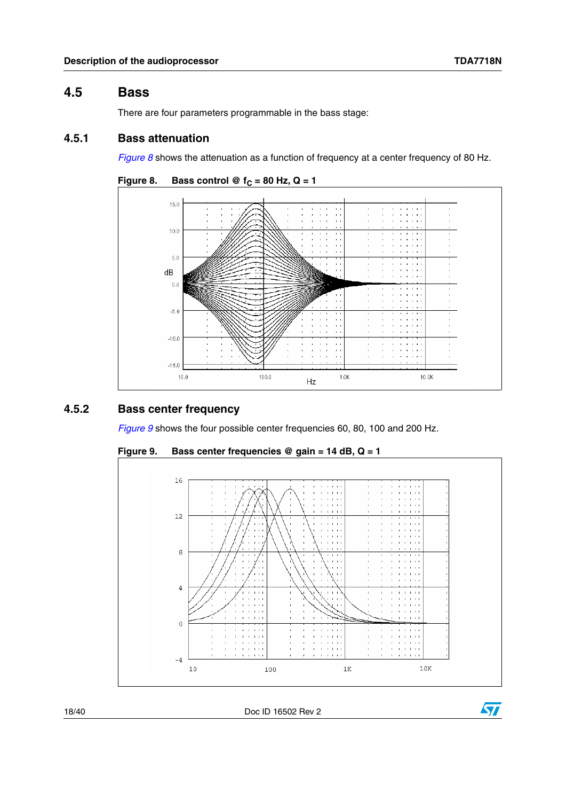#### <span id="page-17-0"></span>**4.5 Bass**

There are four parameters programmable in the bass stage:

#### <span id="page-17-1"></span>**4.5.1 Bass attenuation**

*[Figure 8](#page-17-3)* shows the attenuation as a function of frequency at a center frequency of 80 Hz.

<span id="page-17-3"></span>

#### <span id="page-17-2"></span>**4.5.2 Bass center frequency**

*[Figure 9](#page-17-4)* shows the four possible center frequencies 60, 80, 100 and 200 Hz.



<span id="page-17-4"></span>**Figure 9. Bass center frequencies @ gain = 14 dB, Q = 1**

18/40 Doc ID 16502 Rev 2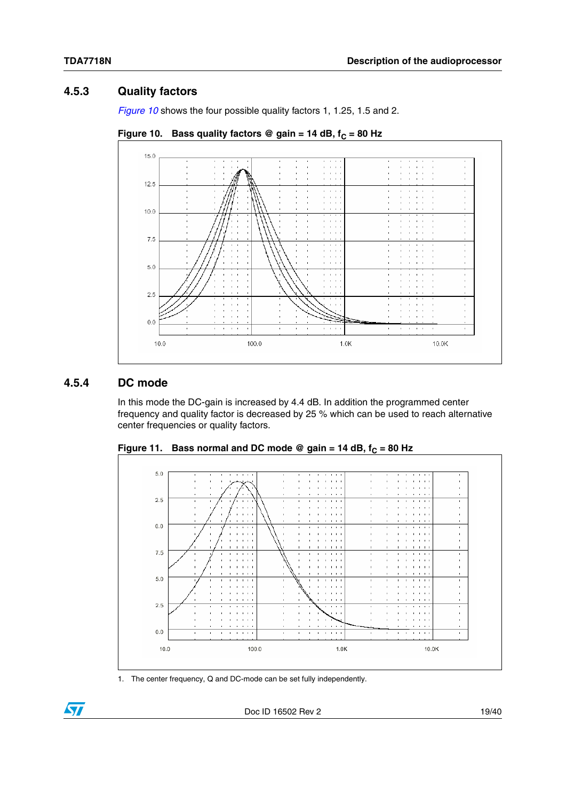#### <span id="page-18-0"></span>**4.5.3 Quality factors**

*[Figure 10](#page-18-2)* shows the four possible quality factors 1, 1.25, 1.5 and 2.

<span id="page-18-2"></span>



#### <span id="page-18-1"></span>**4.5.4 DC mode**

In this mode the DC-gain is increased by 4.4 dB. In addition the programmed center frequency and quality factor is decreased by 25 % which can be used to reach alternative center frequencies or quality factors.



<span id="page-18-3"></span>Figure 11. Bass normal and DC mode @ gain = 14 dB,  $f_C = 80$  Hz

1. The center frequency, Q and DC-mode can be set fully independently.

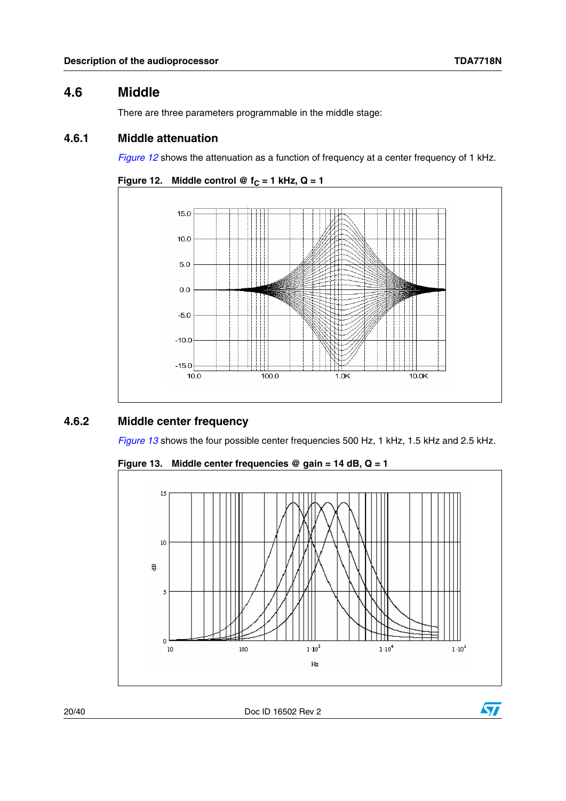### <span id="page-19-0"></span>**4.6 Middle**

There are three parameters programmable in the middle stage:

#### <span id="page-19-1"></span>**4.6.1 Middle attenuation**

*[Figure 12](#page-19-3)* shows the attenuation as a function of frequency at a center frequency of 1 kHz.

```
Figure 12. Middle control @ f_C = 1 kHz, Q = 1
```


#### <span id="page-19-2"></span>**4.6.2 Middle center frequency**

*[Figure 13](#page-19-4)* shows the four possible center frequencies 500 Hz, 1 kHz, 1.5 kHz and 2.5 kHz.

<span id="page-19-4"></span>



20/40 Doc ID 16502 Rev 2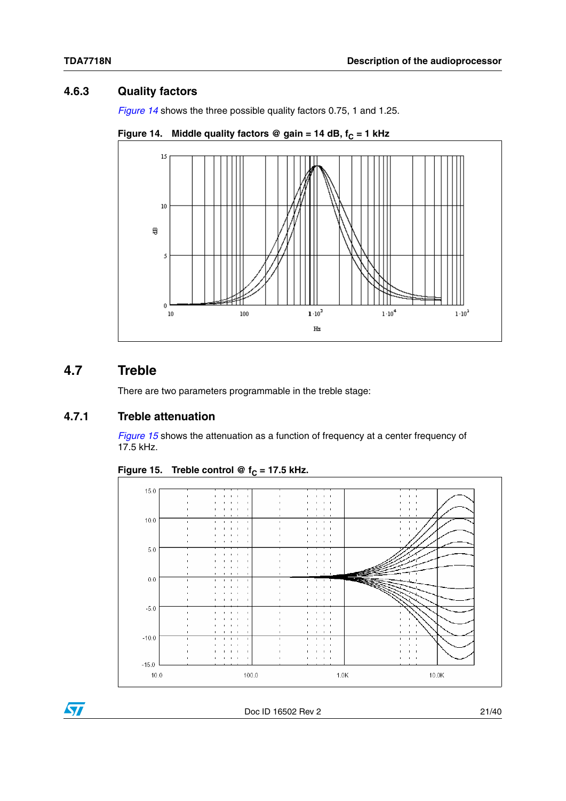## <span id="page-20-0"></span>**4.6.3 Quality factors**

*[Figure 14](#page-20-3)* shows the three possible quality factors 0.75, 1 and 1.25.

<span id="page-20-3"></span>



# <span id="page-20-1"></span>**4.7 Treble**

There are two parameters programmable in the treble stage:

#### <span id="page-20-2"></span>**4.7.1 Treble attenuation**

*[Figure 15](#page-20-4)* shows the attenuation as a function of frequency at a center frequency of 17.5 kHz.

<span id="page-20-4"></span>Figure 15. Treble control @  $f_C = 17.5$  kHz.



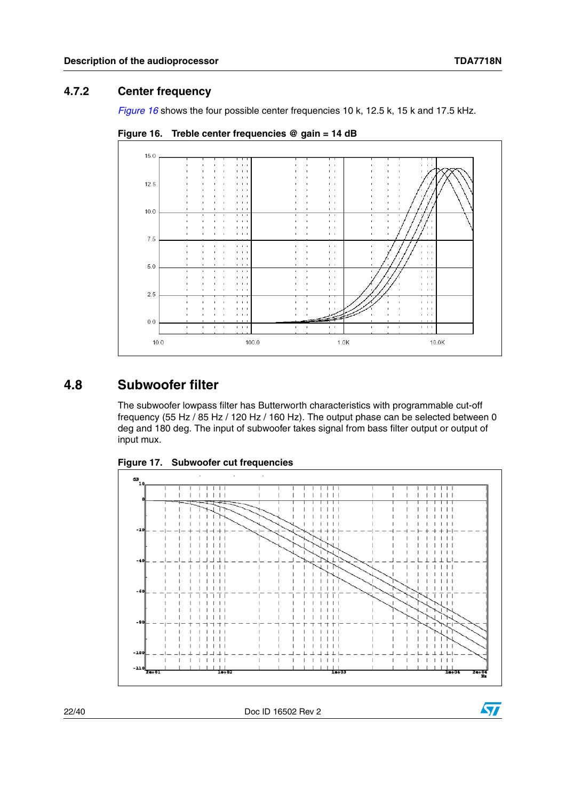#### <span id="page-21-0"></span>**4.7.2 Center frequency**

*[Figure 16](#page-21-2)* shows the four possible center frequencies 10 k, 12.5 k, 15 k and 17.5 kHz.



<span id="page-21-2"></span>**Figure 16. Treble center frequencies @ gain = 14 dB**

## <span id="page-21-1"></span>**4.8 Subwoofer filter**

The subwoofer lowpass filter has Butterworth characteristics with programmable cut-off frequency (55 Hz / 85 Hz / 120 Hz / 160 Hz). The output phase can be selected between 0 deg and 180 deg. The input of subwoofer takes signal from bass filter output or output of input mux.



<span id="page-21-3"></span>**Figure 17. Subwoofer cut frequencies**

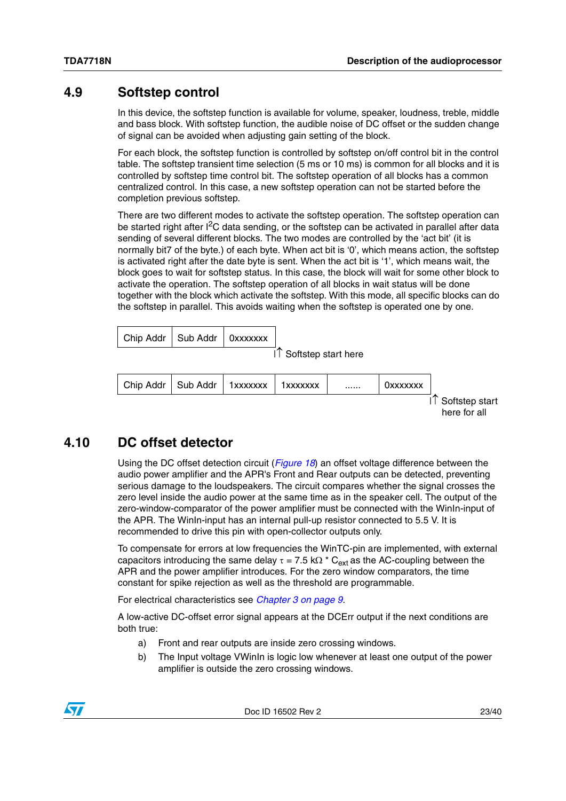#### <span id="page-22-0"></span>**4.9 Softstep control**

In this device, the softstep function is available for volume, speaker, loudness, treble, middle and bass block. With softstep function, the audible noise of DC offset or the sudden change of signal can be avoided when adjusting gain setting of the block.

For each block, the softstep function is controlled by softstep on/off control bit in the control table. The softstep transient time selection (5 ms or 10 ms) is common for all blocks and it is controlled by softstep time control bit. The softstep operation of all blocks has a common centralized control. In this case, a new softstep operation can not be started before the completion previous softstep.

There are two different modes to activate the softstep operation. The softstep operation can be started right after I<sup>2</sup>C data sending, or the softstep can be activated in parallel after data sending of several different blocks. The two modes are controlled by the 'act bit' (it is normally bit7 of the byte.) of each byte. When act bit is '0', which means action, the softstep is activated right after the date byte is sent. When the act bit is '1', which means wait, the block goes to wait for softstep status. In this case, the block will wait for some other block to activate the operation. The softstep operation of all blocks in wait status will be done together with the block which activate the softstep. With this mode, all specific blocks can do the softstep in parallel. This avoids waiting when the softstep is operated one by one.

| Chip Addr   Sub Addr   0xxxxxxx |  |              |
|---------------------------------|--|--------------|
|                                 |  | $\mathbf{r}$ |

 $| \hat{ } |$  Softstep start here



### <span id="page-22-1"></span>**4.10 DC offset detector**

Using the DC offset detection circuit (*[Figure 18](#page-23-0)*) an offset voltage difference between the audio power amplifier and the APR's Front and Rear outputs can be detected, preventing serious damage to the loudspeakers. The circuit compares whether the signal crosses the zero level inside the audio power at the same time as in the speaker cell. The output of the zero-window-comparator of the power amplifier must be connected with the WinIn-input of the APR. The WinIn-input has an internal pull-up resistor connected to 5.5 V. It is recommended to drive this pin with open-collector outputs only.

To compensate for errors at low frequencies the WinTC-pin are implemented, with external capacitors introducing the same delay  $\tau = 7.5$  k $\Omega$  \* C<sub>ext</sub> as the AC-coupling between the APR and the power amplifier introduces. For the zero window comparators, the time constant for spike rejection as well as the threshold are programmable.

For electrical characteristics see *[Chapter 3 on page 9](#page-8-0)*.

A low-active DC-offset error signal appears at the DCErr output if the next conditions are both true:

- a) Front and rear outputs are inside zero crossing windows.
- b) The Input voltage VWinIn is logic low whenever at least one output of the power amplifier is outside the zero crossing windows.

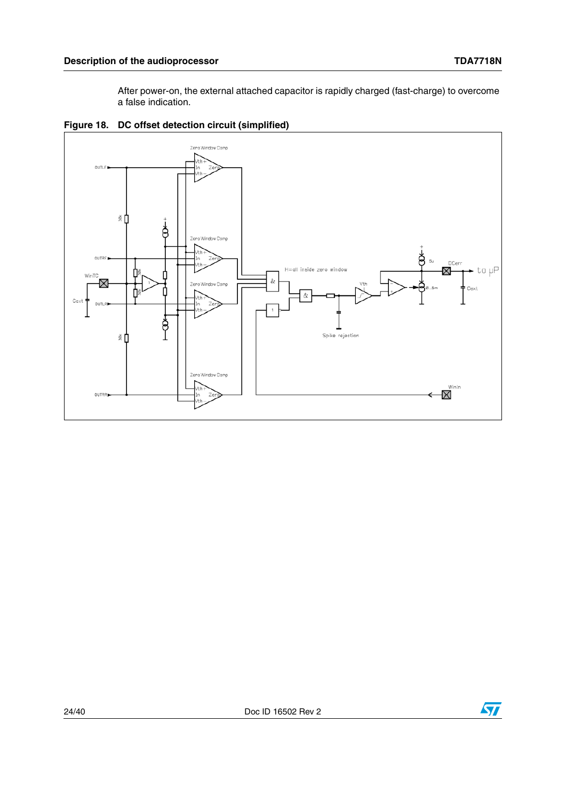After power-on, the external attached capacitor is rapidly charged (fast-charge) to overcome a false indication.



<span id="page-23-0"></span>**Figure 18. DC offset detection circuit (simplified)**

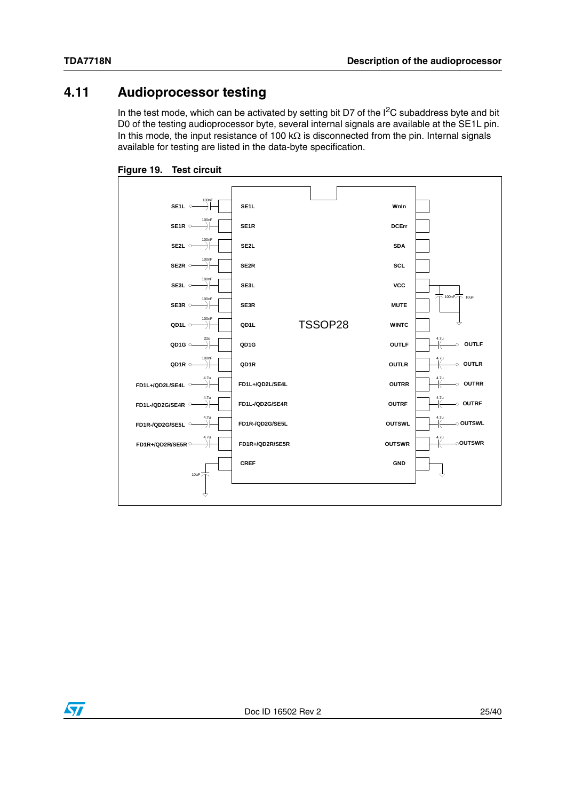# <span id="page-24-0"></span>**4.11 Audioprocessor testing**

In the test mode, which can be activated by setting bit D7 of the  $I<sup>2</sup>C$  subaddress byte and bit D0 of the testing audioprocessor byte, several internal signals are available at the SE1L pin. In this mode, the input resistance of 100 k $\Omega$  is disconnected from the pin. Internal signals available for testing are listed in the data-byte specification.

<span id="page-24-1"></span>



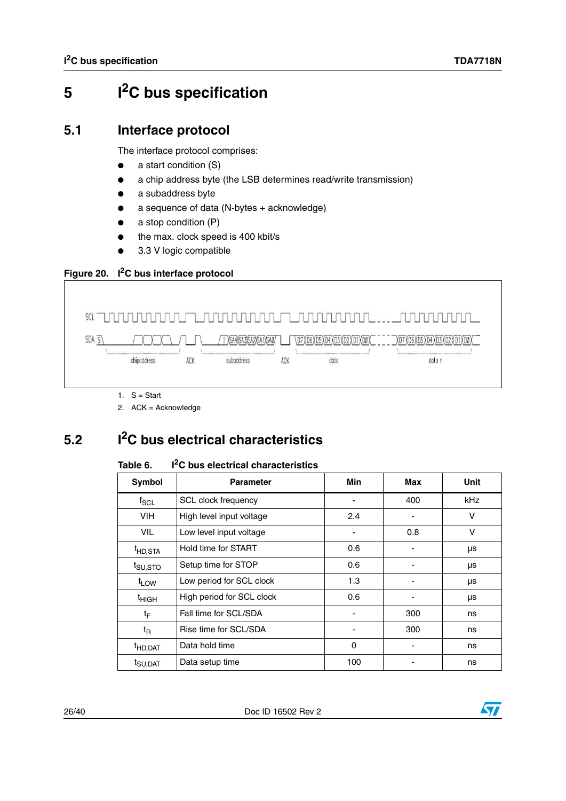# <span id="page-25-0"></span>**5 I2C bus specification**

## <span id="page-25-1"></span>**5.1 Interface protocol**

The interface protocol comprises:

- a start condition (S)
- a chip address byte (the LSB determines read/write transmission)
- a subaddress byte
- $a$  sequence of data (N-bytes + acknowledge)
- $a$  stop condition (P)
- the max. clock speed is 400 kbit/s
- 3.3 V logic compatible

#### <span id="page-25-4"></span>**Figure 20. I2C bus interface protocol**



2. ACK = Acknowledge

# <span id="page-25-2"></span>**5.2 I2C bus electrical characteristics**

#### <span id="page-25-3"></span>Table 6. **T**<sup>2</sup>C bus electrical characteristics

| Symbol              | <b>Parameter</b>          | Min      | Max | Unit       |
|---------------------|---------------------------|----------|-----|------------|
| $f_{\rm SCL}$       | SCL clock frequency       |          | 400 | <b>kHz</b> |
| VIH.                | High level input voltage  | 2.4      | ۰   | v          |
| <b>VIL</b>          | Low level input voltage   |          | 0.8 | $\vee$     |
| <sup>t</sup> HD,STA | Hold time for START       | 0.6      |     | μs         |
| t <sub>SU,STO</sub> | Setup time for STOP       | 0.6      |     | μs         |
| $t_{LOW}$           | Low period for SCL clock  | 1.3      |     | μs         |
| <sup>t</sup> HIGH   | High period for SCL clock | 0.6      |     | μs         |
| tF                  | Fall time for SCL/SDA     |          | 300 | ns         |
| $t_{\mathsf{R}}$    | Rise time for SCL/SDA     |          | 300 | ns         |
| <sup>t</sup> HD,DAT | Data hold time            | $\Omega$ |     | ns         |
| <sup>t</sup> SU.DAT | Data setup time           | 100      |     | ns         |

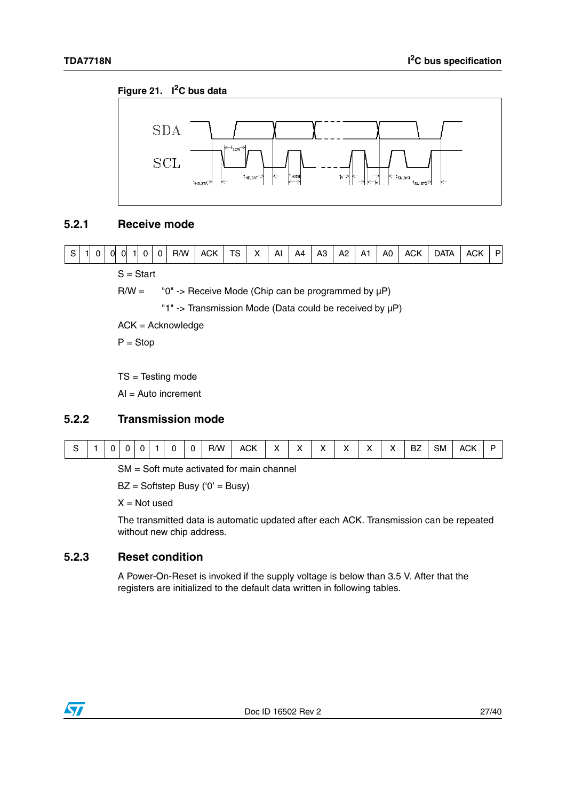#### <span id="page-26-3"></span>**Figure 21. I2C bus data**



#### <span id="page-26-0"></span>**5.2.1 Receive mode**



S = Start

 $R/W =$  "0" -> Receive Mode (Chip can be programmed by  $\mu P$ )

"1" -> Transmission Mode (Data could be received by µP)

ACK = Acknowledge

 $P = Stop$ 

TS = Testing mode

AI = Auto increment

#### <span id="page-26-1"></span>**5.2.2 Transmission mode**

|  |  |  |  |  |  |  | R/W | ACK |  | $\cdot$ |  | $\cdot$ |  | $\cdot$ | . .<br>ىر | SM | ۸CK<br>Δ |  |
|--|--|--|--|--|--|--|-----|-----|--|---------|--|---------|--|---------|-----------|----|----------|--|
|--|--|--|--|--|--|--|-----|-----|--|---------|--|---------|--|---------|-----------|----|----------|--|

SM = Soft mute activated for main channel

BZ = Softstep Busy ('0' = Busy)

 $X = Not used$ 

The transmitted data is automatic updated after each ACK. Transmission can be repeated without new chip address.

#### <span id="page-26-2"></span>**5.2.3 Reset condition**

A Power-On-Reset is invoked if the supply voltage is below than 3.5 V. After that the registers are initialized to the default data written in following tables.

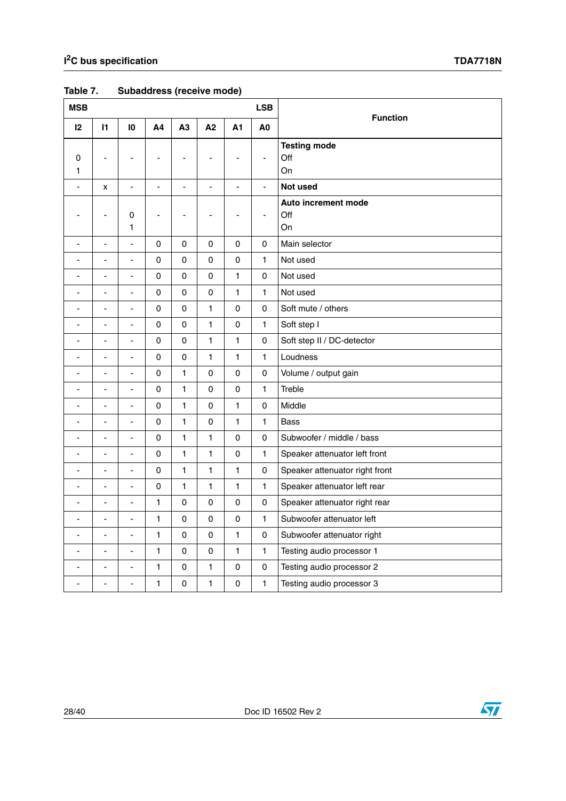| <b>MSB</b>               |                              |                              |                |                          |                |               | <b>LSB</b>     |                                  |
|--------------------------|------------------------------|------------------------------|----------------|--------------------------|----------------|---------------|----------------|----------------------------------|
| 12                       | $\mathbf{I}$                 | $\overline{10}$              | A4             | A3                       | A2             | A1            | A <sub>0</sub> | <b>Function</b>                  |
| 0<br>1                   |                              |                              |                | ۰                        |                |               | $\blacksquare$ | <b>Testing mode</b><br>Off<br>On |
|                          | X                            | $\blacksquare$               | $\blacksquare$ | $\blacksquare$           | $\blacksquare$ | $\frac{1}{2}$ | $\blacksquare$ | Not used                         |
| ÷,                       | ä,                           | 0<br>1                       | $\blacksquare$ | $\overline{\phantom{0}}$ | $\blacksquare$ | ÷,            | ÷,             | Auto increment mode<br>Off<br>On |
| ÷                        | ÷,                           | $\overline{a}$               | 0              | $\mathsf 0$              | 0              | 0             | $\mathbf 0$    | Main selector                    |
| ÷,                       | $\overline{a}$               | ÷,                           | 0              | $\pmb{0}$                | $\mathsf 0$    | $\mathsf 0$   | 1              | Not used                         |
| $\overline{\phantom{a}}$ | ÷                            | ÷,                           | $\mathbf 0$    | $\mathbf 0$              | $\mathbf 0$    | 1             | $\mathbf 0$    | Not used                         |
|                          | ÷                            | ÷,                           | $\pmb{0}$      | 0                        | 0              | 1             | 1              | Not used                         |
|                          | ä,                           | $\blacksquare$               | 0              | 0                        | 1              | 0             | 0              | Soft mute / others               |
| $\overline{\phantom{a}}$ | ÷,                           | $\overline{a}$               | 0              | 0                        | 1              | 0             | 1              | Soft step I                      |
| $\overline{\phantom{a}}$ | ÷                            | $\blacksquare$               | 0              | $\mathsf 0$              | $\mathbf{1}$   | $\mathbf{1}$  | 0              | Soft step II / DC-detector       |
|                          | ÷,                           | ÷,                           | 0              | $\mathsf 0$              | 1              | 1             | $\mathbf{1}$   | Loudness                         |
| ä,                       | ÷                            | $\blacksquare$               | $\pmb{0}$      | 1                        | 0              | 0             | $\mathsf 0$    | Volume / output gain             |
| ÷,                       | ä,                           | $\overline{\phantom{a}}$     | 0              | 1                        | 0              | 0             | 1              | Treble                           |
| $\blacksquare$           | $\qquad \qquad \blacksquare$ | ÷,                           | $\pmb{0}$      | $\mathbf{1}$             | 0              | 1             | $\pmb{0}$      | Middle                           |
| $\blacksquare$           | $\overline{a}$               | ÷,                           | $\mathbf 0$    | $\mathbf{1}$             | $\mathsf 0$    | $\mathbf{1}$  | $\mathbf{1}$   | <b>Bass</b>                      |
| $\overline{\phantom{a}}$ | $\overline{\phantom{0}}$     | $\qquad \qquad \blacksquare$ | 0              | 1                        | 1              | 0             | 0              | Subwoofer / middle / bass        |
| ÷,                       | $\overline{\phantom{a}}$     | $\blacksquare$               | $\mathbf 0$    | 1                        | 1              | 0             | $\mathbf{1}$   | Speaker attenuator left front    |
| ÷                        | ÷,                           | $\overline{a}$               | 0              | 1                        | 1              | 1             | 0              | Speaker attenuator right front   |
| ä,                       | $\overline{a}$               | ÷,                           | 0              | 1                        | 1              | $\mathbf{1}$  | 1              | Speaker attenuator left rear     |
| $\overline{\phantom{a}}$ | $\overline{a}$               | ÷,                           | $\mathbf{1}$   | 0                        | 0              | 0             | $\pmb{0}$      | Speaker attenuator right rear    |
| $\overline{\phantom{a}}$ | ä,                           | ÷,                           | $\mathbf{1}$   | $\mathsf{O}\xspace$      | 0              | 0             | 1              | Subwoofer attenuator left        |
| ÷,                       | $\overline{a}$               | $\blacksquare$               | 1              | 0                        | 0              | 1             | 0              | Subwoofer attenuator right       |
| $\overline{\phantom{a}}$ | $\overline{\phantom{a}}$     | ä,                           | $\mathbf{1}$   | $\mathsf{O}\xspace$      | 0              | 1             | $\mathbf{1}$   | Testing audio processor 1        |
|                          | ÷,                           | ÷,                           | $\mathbf{1}$   | $\mathsf 0$              | 1              | 0             | $\mathsf 0$    | Testing audio processor 2        |
| ä,                       | ÷,                           | ä,                           | $\mathbf{1}$   | 0                        | $\mathbf{1}$   | 0             | $\mathbf{1}$   | Testing audio processor 3        |

### <span id="page-27-0"></span>**Table 7. Subaddress (receive mode)**



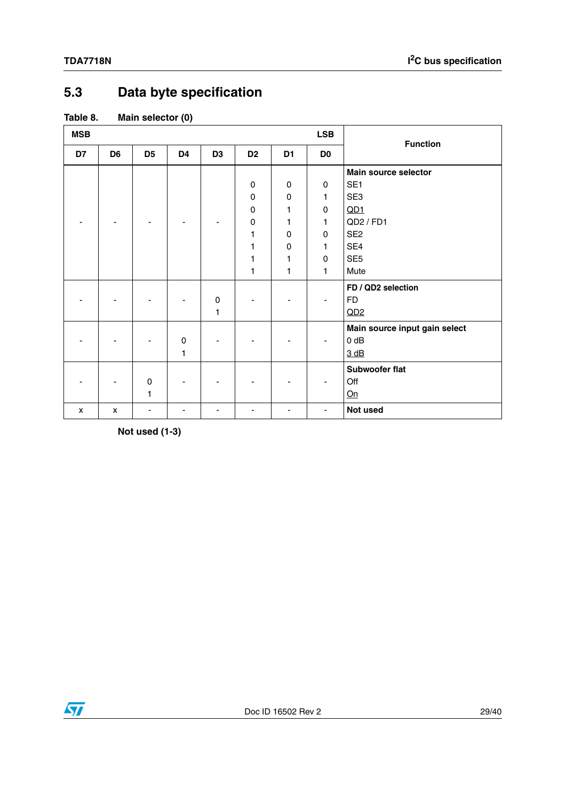# <span id="page-28-0"></span>**5.3 Data byte specification**

#### <span id="page-28-1"></span>**Table 8. Main selector (0)**

| <b>MSB</b> |                |                |                |                |                |                | <b>LSB</b>     | <b>Function</b>               |  |  |  |
|------------|----------------|----------------|----------------|----------------|----------------|----------------|----------------|-------------------------------|--|--|--|
| D7         | D <sub>6</sub> | D <sub>5</sub> | D <sub>4</sub> | D <sub>3</sub> | D <sub>2</sub> | D <sub>1</sub> | D <sub>0</sub> |                               |  |  |  |
|            |                |                |                |                |                |                |                | <b>Main source selector</b>   |  |  |  |
|            |                |                |                |                | 0              | $\mathbf 0$    | 0              | SE <sub>1</sub>               |  |  |  |
|            |                |                |                |                | 0              | 0              | 1              | SE3                           |  |  |  |
|            |                |                |                |                | 0              | 1              | 0              | QD1                           |  |  |  |
|            |                |                |                |                | 0              | 1              | 1              | QD2 / FD1                     |  |  |  |
|            |                |                |                |                | 1              | 0              | 0              | SE <sub>2</sub>               |  |  |  |
|            |                |                |                |                | 1              | 0              | 1              | SE4                           |  |  |  |
|            |                |                |                |                | 1              | 1              | 0              | SE <sub>5</sub>               |  |  |  |
|            |                |                |                |                | 1              | 1              | 1              | Mute                          |  |  |  |
|            |                |                |                |                |                |                |                | FD / QD2 selection            |  |  |  |
|            |                |                |                | $\mathbf 0$    |                |                | $\blacksquare$ | <b>FD</b>                     |  |  |  |
|            |                |                |                | 1              |                |                |                | QD2                           |  |  |  |
|            |                |                |                |                |                |                |                | Main source input gain select |  |  |  |
|            |                |                | 0              |                |                |                |                | $0$ dB                        |  |  |  |
|            |                |                | $\mathbf{1}$   |                |                |                |                | 3 dB                          |  |  |  |
|            |                |                |                |                |                |                |                | <b>Subwoofer flat</b>         |  |  |  |
|            |                | $\mathbf 0$    |                |                |                |                |                | Off                           |  |  |  |
|            |                | 1              |                |                |                |                |                | On                            |  |  |  |
| x          | $\mathsf{x}$   | ٠              | ٠              |                |                | ٠              | ٠              | Not used                      |  |  |  |

**Not used (1-3)**

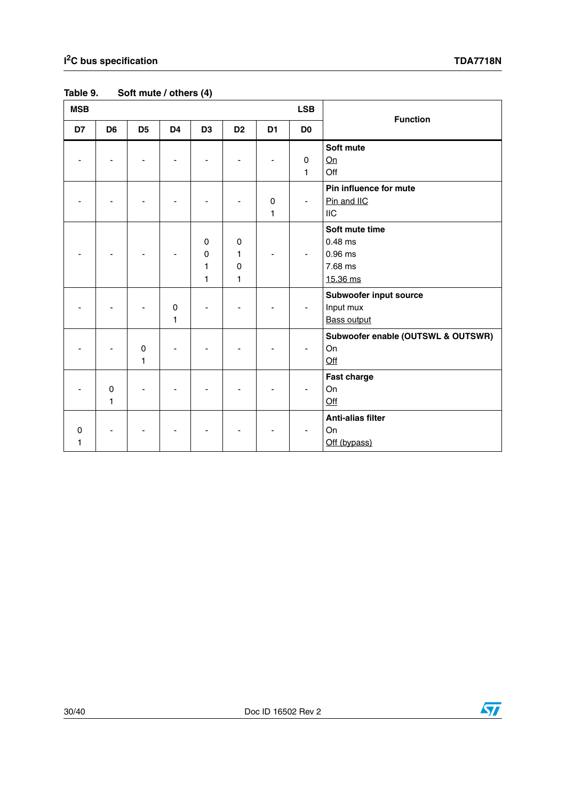| <b>MSB</b>    |                  |                  |                  |                  |                                                 |                | <b>LSB</b>     | <b>Function</b>                                               |
|---------------|------------------|------------------|------------------|------------------|-------------------------------------------------|----------------|----------------|---------------------------------------------------------------|
| D7            | D <sub>6</sub>   | D <sub>5</sub>   | D <sub>4</sub>   | D <sub>3</sub>   | D <sub>2</sub>                                  | D <sub>1</sub> | D <sub>0</sub> |                                                               |
|               |                  |                  |                  |                  |                                                 |                | $\pmb{0}$<br>1 | Soft mute<br>Qn<br>Off                                        |
|               |                  |                  |                  |                  |                                                 | $\pmb{0}$<br>1 | $\blacksquare$ | Pin influence for mute<br>Pin and IIC<br><b>IIC</b>           |
|               |                  |                  |                  | 0<br>0<br>1<br>1 | $\mathbf 0$<br>1<br>$\mathbf 0$<br>$\mathbf{1}$ |                | $\blacksquare$ | Soft mute time<br>$0.48$ ms<br>0.96 ms<br>7.68 ms<br>15.36 ms |
|               |                  |                  | $\mathbf 0$<br>1 |                  |                                                 |                |                | Subwoofer input source<br>Input mux<br><b>Bass output</b>     |
|               |                  | $\mathsf 0$<br>1 |                  |                  |                                                 |                | $\blacksquare$ | Subwoofer enable (OUTSWL & OUTSWR)<br>On<br>$Off$             |
|               | $\mathsf 0$<br>1 |                  |                  |                  |                                                 |                | $\blacksquare$ | <b>Fast charge</b><br>On<br>$Off$                             |
| $\Omega$<br>1 |                  |                  |                  |                  |                                                 |                |                | <b>Anti-alias filter</b><br>On<br>Off (bypass)                |

# <span id="page-29-0"></span>**Table 9. Soft mute / others (4)**

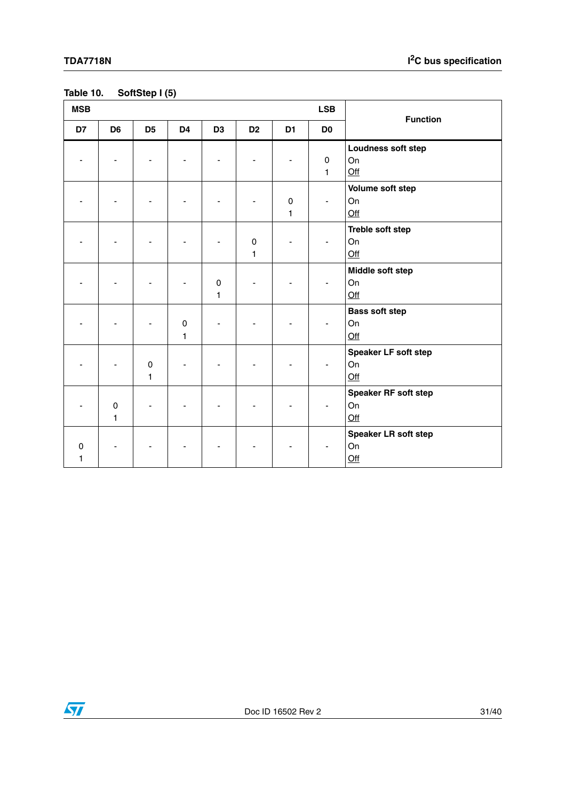### <span id="page-30-0"></span>**Table 10. SoftStep I (5)**

| <b>MSB</b>       |                |                             |                             |                |                             |                   | <b>LSB</b>                  | <b>Function</b>                      |
|------------------|----------------|-----------------------------|-----------------------------|----------------|-----------------------------|-------------------|-----------------------------|--------------------------------------|
| D7               | D <sub>6</sub> | D <sub>5</sub>              | D <sub>4</sub>              | D <sub>3</sub> | D <sub>2</sub>              | D <sub>1</sub>    | D <sub>0</sub>              |                                      |
|                  |                |                             |                             |                |                             |                   | $\mathbf 0$<br>$\mathbf{1}$ | Loudness soft step<br>On<br>$Off$    |
|                  |                |                             |                             |                |                             | 0<br>$\mathbf{1}$ | $\overline{\phantom{a}}$    | Volume soft step<br>On<br>Off        |
|                  |                |                             |                             |                | $\mathsf 0$<br>$\mathbf{1}$ |                   | $\blacksquare$              | Treble soft step<br>On<br>Qff        |
|                  |                |                             |                             | $\pmb{0}$<br>1 |                             |                   | $\overline{\phantom{a}}$    | Middle soft step<br>On<br>Qff        |
|                  |                |                             | $\mathbf 0$<br>$\mathbf{1}$ |                |                             |                   | $\blacksquare$              | <b>Bass soft step</b><br>On<br>$Off$ |
|                  |                | $\mathsf 0$<br>$\mathbf{1}$ |                             |                |                             |                   | $\blacksquare$              | Speaker LF soft step<br>On<br>Off    |
|                  | $\pmb{0}$<br>1 |                             |                             |                |                             |                   | $\blacksquare$              | Speaker RF soft step<br>On<br>Qff    |
| $\mathbf 0$<br>1 |                |                             |                             |                |                             |                   |                             | Speaker LR soft step<br>On<br>Off    |

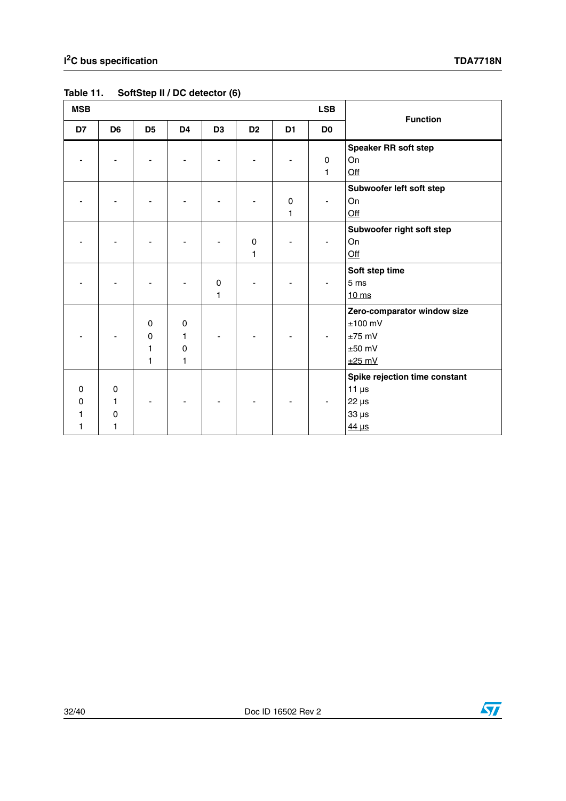| <b>MSB</b>         |                                      |                                                        |                            |                |                |                  | <b>LSB</b>       | <b>Function</b>                                                                       |
|--------------------|--------------------------------------|--------------------------------------------------------|----------------------------|----------------|----------------|------------------|------------------|---------------------------------------------------------------------------------------|
| D7                 | D <sub>6</sub>                       | D <sub>5</sub>                                         | D <sub>4</sub>             | D <sub>3</sub> | D <sub>2</sub> | D <sub>1</sub>   | D <sub>0</sub>   |                                                                                       |
|                    |                                      |                                                        |                            |                |                |                  | $\mathbf 0$<br>1 | <b>Speaker RR soft step</b><br>On<br>Off                                              |
|                    |                                      |                                                        |                            |                |                | $\mathbf 0$<br>1 | $\blacksquare$   | Subwoofer left soft step<br>On<br>$Off$                                               |
|                    |                                      |                                                        |                            |                | $\pmb{0}$<br>1 |                  |                  | Subwoofer right soft step<br>On<br>Qff                                                |
|                    |                                      |                                                        |                            | 0<br>1         |                |                  |                  | Soft step time<br>5 ms<br>$10 \text{ ms}$                                             |
|                    |                                      | $\pmb{0}$<br>$\pmb{0}$<br>$\mathbf{1}$<br>$\mathbf{1}$ | 0<br>1<br>$\mathbf 0$<br>1 |                |                |                  |                  | Zero-comparator window size<br>$±100$ mV<br>$±75$ mV<br>$±50$ mV<br>$±25$ mV          |
| $\Omega$<br>0<br>1 | $\mathbf 0$<br>1<br>$\mathbf 0$<br>1 |                                                        |                            |                |                |                  |                  | Spike rejection time constant<br>$11 \mu s$<br>$22 \mu s$<br>$33 \mu s$<br>$44 \mu s$ |

### <span id="page-31-0"></span>**Table 11. SoftStep II / DC detector (6)**

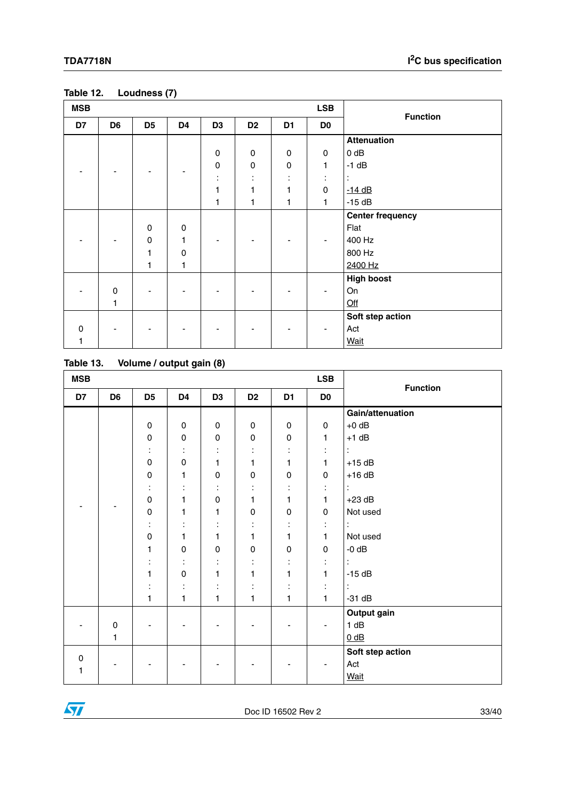| <b>MSB</b> |                |                |                          |                |                     |                | <b>LSB</b>     | <b>Function</b>         |  |  |
|------------|----------------|----------------|--------------------------|----------------|---------------------|----------------|----------------|-------------------------|--|--|
| D7         | D <sub>6</sub> | D <sub>5</sub> | D <sub>4</sub>           | D <sub>3</sub> | D <sub>2</sub>      | D <sub>1</sub> | D <sub>0</sub> |                         |  |  |
|            |                |                |                          |                |                     |                |                | <b>Attenuation</b>      |  |  |
|            |                |                |                          | $\pmb{0}$      | $\mathsf{O}\xspace$ | $\pmb{0}$      | $\pmb{0}$      | $0$ dB                  |  |  |
|            |                |                |                          | $\pmb{0}$      | $\mathsf{O}\xspace$ | $\pmb{0}$      | $\mathbf{1}$   | $-1$ dB                 |  |  |
|            |                |                | $\overline{\phantom{a}}$ | ÷              | ÷                   | ÷              | ÷              | $\ddot{\cdot}$          |  |  |
|            |                |                |                          | 1              | 1                   | 1              | $\mathbf 0$    | $-14$ dB                |  |  |
|            |                |                |                          | 1              | 1                   | 1              | 1              | $-15dB$                 |  |  |
|            |                |                |                          |                |                     |                |                | <b>Center frequency</b> |  |  |
|            |                | 0              | 0                        |                |                     |                |                | Flat                    |  |  |
|            |                | 0              | 1                        |                |                     |                |                | 400 Hz                  |  |  |
|            |                | $\mathbf{1}$   | $\pmb{0}$                |                |                     |                |                | 800 Hz                  |  |  |
|            |                | $\mathbf{1}$   | $\mathbf{1}$             |                |                     |                |                | 2400 Hz                 |  |  |
|            |                |                |                          |                |                     |                |                | <b>High boost</b>       |  |  |
|            | $\mathbf 0$    |                |                          |                |                     |                |                | On                      |  |  |
|            | 1              |                |                          |                |                     |                |                | $Off$                   |  |  |
|            |                |                |                          |                |                     |                |                | Soft step action        |  |  |
| $\Omega$   |                |                |                          |                |                     |                |                | Act                     |  |  |
| 1          |                |                |                          |                |                     |                |                | Wait                    |  |  |

#### <span id="page-32-0"></span>**Table 12. Loudness (7)**

<span id="page-32-1"></span>

| Table 13. | Volume / output gain (8) |  |
|-----------|--------------------------|--|
|-----------|--------------------------|--|

| <b>MSB</b> |                |                      |                |                | <b>LSB</b>     | <b>Function</b> |                |                  |
|------------|----------------|----------------------|----------------|----------------|----------------|-----------------|----------------|------------------|
| D7         | D <sub>6</sub> | D <sub>5</sub>       | D <sub>4</sub> | D <sub>3</sub> | D <sub>2</sub> | D <sub>1</sub>  | D <sub>0</sub> |                  |
|            |                |                      |                |                |                |                 |                | Gain/attenuation |
|            |                | $\pmb{0}$            | $\pmb{0}$      | $\pmb{0}$      | $\mathsf 0$    | $\pmb{0}$       | 0              | $+0$ dB          |
|            |                | $\pmb{0}$            | 0              | $\pmb{0}$      | $\mathsf 0$    | $\pmb{0}$       | 1              | $+1$ dB          |
|            |                | $\cdot$              | ÷              | ٠              |                | ÷               | ÷              | ÷                |
|            |                | $\pmb{0}$            | $\mathsf 0$    | 1              | 1              | 1               | 1              | $+15$ dB         |
|            |                | $\mathbf 0$          | 1              | $\pmb{0}$      | $\mathbf 0$    | $\pmb{0}$       | 0              | $+16$ dB         |
|            |                | ÷                    | $\cdot$        | ٠<br>$\cdot$   | ٠              | ÷               | ÷              | ÷                |
|            |                | $\pmb{0}$            | 1              | 0              | 1              | 1               | 1              | $+23$ dB         |
|            |                | $\pmb{0}$            | 1              | 1              | $\pmb{0}$      | $\pmb{0}$       | 0              | Not used         |
|            |                | $\ddot{\phantom{a}}$ | ÷              | ÷              | ٠              | ÷               | ÷              | ÷                |
|            |                | $\pmb{0}$            | 1              | 1              | 1              | 1               | 1              | Not used         |
|            |                | 1                    | 0              | 0              | 0              | 0               | 0              | $-0$ dB          |
|            |                | $\ddot{\cdot}$       | ÷              | ÷              |                | ÷               | ÷              | $\ddot{\cdot}$   |
|            |                | 1                    | $\mathsf 0$    | 1              | 1              | 1               | 1              | $-15dB$          |
|            |                | ÷                    | ÷              | ÷              |                | ÷               | ÷              | ÷                |
|            |                | 1                    | 1              | $\mathbf{1}$   | $\mathbf{1}$   | 1               | 1              | $-31$ dB         |
|            |                |                      |                |                |                |                 |                | Output gain      |
|            | 0              |                      | $\overline{a}$ |                |                |                 | $\overline{a}$ | 1 dB             |
|            | 1              |                      |                |                |                |                 |                | $0$ dB           |
|            |                |                      |                |                |                |                 |                | Soft step action |
| 0<br>1     |                |                      |                |                |                |                 |                | Act              |
|            |                |                      |                |                |                |                 |                | <b>Wait</b>      |

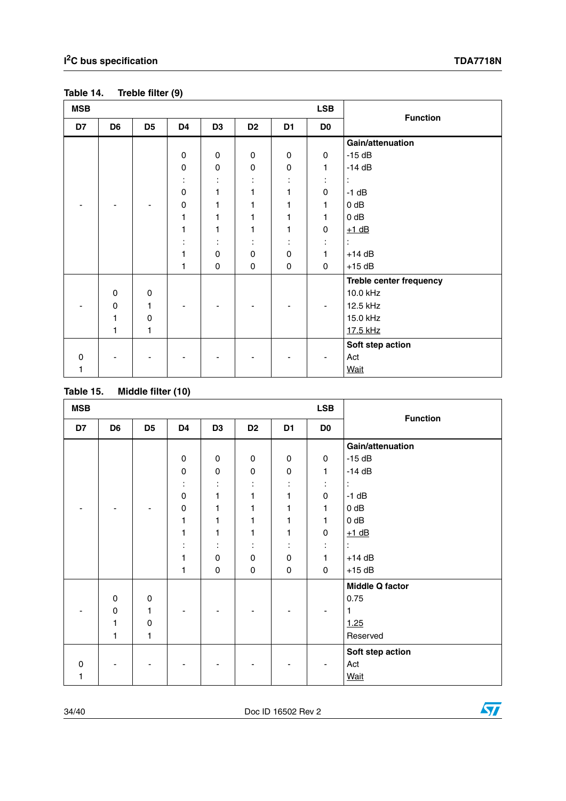| <b>MSB</b>  |                |                |             |                     |                |                | <b>LSB</b>     | <b>Function</b>         |  |
|-------------|----------------|----------------|-------------|---------------------|----------------|----------------|----------------|-------------------------|--|
| D7          | D <sub>6</sub> | D <sub>5</sub> | D4          | D <sub>3</sub>      | D <sub>2</sub> | D <sub>1</sub> | D <sub>0</sub> |                         |  |
|             |                |                |             |                     |                |                |                | Gain/attenuation        |  |
|             |                |                | $\pmb{0}$   | $\pmb{0}$           | $\mathsf 0$    | $\pmb{0}$      | 0              | $-15dB$                 |  |
|             |                |                | $\pmb{0}$   | $\pmb{0}$           | $\mathsf 0$    | $\pmb{0}$      | 1              | $-14dB$                 |  |
|             |                |                | ÷           | ٠<br>$\blacksquare$ |                | ÷              | ÷              | ÷                       |  |
|             |                |                | $\mathsf 0$ | 1                   |                | 1              | 0              | $-1$ dB                 |  |
|             |                |                | 0           | 1                   | 1              | 1              | 1              | $0$ dB                  |  |
|             |                |                | 1           | 1                   | 1              | 1              | 1              | $0$ dB                  |  |
|             |                |                | 1           | 1                   | 1              | 1              | 0              | $+1$ dB                 |  |
|             |                |                |             | ٠<br>$\cdot$        | ٠<br>٠         | ٠<br>$\bullet$ | ÷              | ÷                       |  |
|             |                |                | 1           | $\pmb{0}$           | $\pmb{0}$      | $\pmb{0}$      | 1              | $+14$ dB                |  |
|             |                |                | 1           | 0                   | 0              | $\mathbf 0$    | 0              | $+15$ dB                |  |
|             |                |                |             |                     |                |                |                | Treble center frequency |  |
|             | $\mathbf 0$    | $\mathbf 0$    |             |                     |                |                |                | 10.0 kHz                |  |
|             | $\pmb{0}$      | 1              |             |                     |                |                |                | 12.5 kHz                |  |
|             | 1              | 0              |             |                     |                |                |                | 15.0 kHz                |  |
|             | 1              | 1              |             |                     |                |                |                | 17.5 kHz                |  |
|             |                |                |             |                     |                |                |                | Soft step action        |  |
| $\mathbf 0$ |                |                |             |                     |                |                |                | Act                     |  |
| 1           |                |                |             |                     |                |                |                | <b>Wait</b>             |  |

#### <span id="page-33-0"></span>**Table 14. Treble filter (9)**

<span id="page-33-1"></span>

| Table 15. | Middle filter (10) |  |
|-----------|--------------------|--|
|           |                    |  |

| <b>MSB</b> |                |                | $\sim$ $\sim$ $\sim$ $\sim$ |                      |                |                | <b>LSB</b>     | <b>Function</b>        |
|------------|----------------|----------------|-----------------------------|----------------------|----------------|----------------|----------------|------------------------|
| D7         | D <sub>6</sub> | D <sub>5</sub> | D4                          | D <sub>3</sub>       | D <sub>2</sub> | D <sub>1</sub> | D <sub>0</sub> |                        |
|            |                |                |                             |                      |                |                |                | Gain/attenuation       |
|            |                |                | $\pmb{0}$                   | $\pmb{0}$            | $\pmb{0}$      | $\pmb{0}$      | $\mathsf 0$    | $-15dB$                |
|            |                |                | $\pmb{0}$                   | 0                    | 0              | $\pmb{0}$      | 1              | $-14$ dB               |
|            |                |                | ÷                           |                      |                | ÷              | ÷              | $\ddot{\phantom{a}}$   |
|            |                |                | $\pmb{0}$                   | 1                    |                | 1              | 0              | $-1$ dB                |
|            |                |                | 0                           | 1                    |                | 1              | 1              | $0$ dB                 |
|            |                |                | 1                           | 1                    | 1              | 1              | $\mathbf{1}$   | 0 dB                   |
|            |                |                | 1                           | 1                    | 1              | 1              | $\pmb{0}$      | $+1$ dB                |
|            |                |                |                             | $\bullet$<br>$\cdot$ |                | ÷              | ÷              | $\ddot{\cdot}$         |
|            |                |                | 1                           | $\mathsf 0$          | $\mathsf 0$    | $\pmb{0}$      | $\mathbf{1}$   | $+14$ dB               |
|            |                |                | 1                           | 0                    | $\pmb{0}$      | $\pmb{0}$      | 0              | $+15$ dB               |
|            |                |                |                             |                      |                |                |                | <b>Middle Q factor</b> |
|            | $\mathbf 0$    | $\mathbf 0$    |                             |                      |                |                |                | 0.75                   |
|            | 0              | 1              |                             |                      |                |                |                | 1                      |
|            | 1              | 0              |                             |                      |                |                |                | 1.25                   |
|            | $\mathbf{1}$   | 1              |                             |                      |                |                |                | Reserved               |
|            |                |                |                             |                      |                |                |                | Soft step action       |
| $\Omega$   |                |                |                             |                      |                |                | ٠              | Act                    |
| 1          |                |                |                             |                      |                |                |                | <b>Wait</b>            |

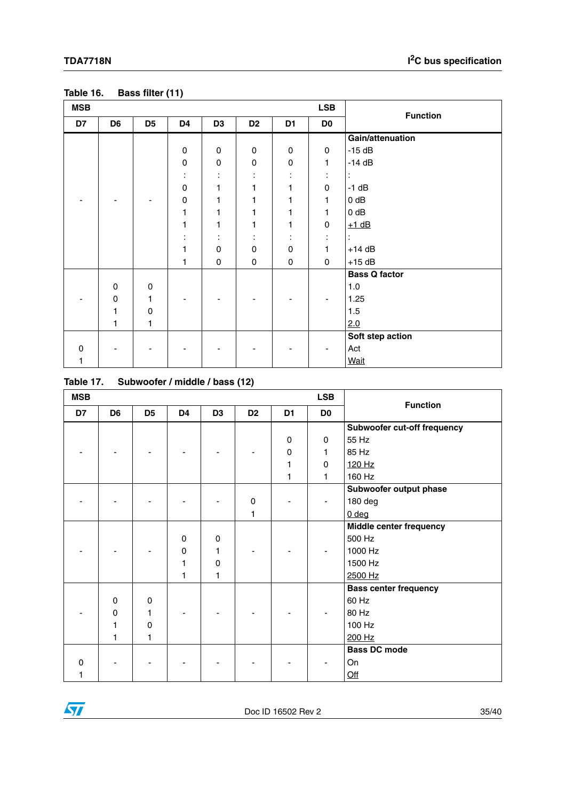| <b>MSB</b> |                |                |              |                          |                     | <b>LSB</b>     | <b>Function</b> |                      |
|------------|----------------|----------------|--------------|--------------------------|---------------------|----------------|-----------------|----------------------|
| D7         | D <sub>6</sub> | D <sub>5</sub> | D4           | D <sub>3</sub>           | D <sub>2</sub>      | D <sub>1</sub> | D <sub>0</sub>  |                      |
|            |                |                |              |                          |                     |                |                 | Gain/attenuation     |
|            |                |                | $\pmb{0}$    | $\pmb{0}$                | $\mathsf{O}\xspace$ | $\mathsf 0$    | $\mathbf 0$     | $-15dB$              |
|            |                |                | $\pmb{0}$    | $\pmb{0}$                | 0                   | $\pmb{0}$      | 1               | $-14$ dB             |
|            |                |                | ÷            | ٠<br>$\cdot$             | ٠<br>$\blacksquare$ |                | ٠<br>٠          |                      |
|            |                |                | 0            | 1                        | 1                   | 1              | 0               | $-1$ dB              |
|            |                |                | 0            | 1                        | 1                   | 1              | 1               | $0$ dB               |
|            |                |                | 1            | 1                        | 1                   | 1              | 1               | $0$ dB               |
|            |                |                | $\mathbf{1}$ | $\mathbf{1}$             | 1                   | 1              | 0               | $+1$ dB              |
|            |                |                | ÷            | ÷                        | ÷                   | ÷              | ÷               |                      |
|            |                |                | 1            | 0                        | 0                   | 0              | 1               | $+14$ dB             |
|            |                |                | 1            | $\mathsf 0$              | $\pmb{0}$           | $\mathbf 0$    | 0               | $+15$ dB             |
|            |                |                |              |                          |                     |                |                 | <b>Bass Q factor</b> |
|            | $\mathbf 0$    | 0              |              |                          |                     |                |                 | 1.0                  |
|            | $\mathbf 0$    | 1              |              |                          |                     |                |                 | 1.25                 |
|            | 1              | $\mathbf 0$    |              |                          |                     |                |                 | 1.5                  |
|            | 1              | 1              |              |                          |                     |                |                 | 2.0                  |
|            |                |                |              |                          |                     |                |                 | Soft step action     |
| 0          |                |                |              | $\overline{\phantom{0}}$ |                     |                |                 | Act                  |
| 1          |                |                |              |                          |                     |                |                 | <b>Wait</b>          |

<span id="page-34-0"></span>

| Table 16. | Bass filter (11) |
|-----------|------------------|
|-----------|------------------|

<span id="page-34-1"></span>

| Subwoofer / middle / bass (12) | Table 17. |  |  |  |  |
|--------------------------------|-----------|--|--|--|--|
|--------------------------------|-----------|--|--|--|--|

| <b>MSB</b> |                |                |    |                |                |                | <b>LSB</b>     | <b>Function</b>              |
|------------|----------------|----------------|----|----------------|----------------|----------------|----------------|------------------------------|
| D7         | D <sub>6</sub> | D <sub>5</sub> | D4 | D <sub>3</sub> | D <sub>2</sub> | D <sub>1</sub> | D <sub>0</sub> |                              |
|            |                |                |    |                |                |                |                | Subwoofer cut-off frequency  |
|            |                |                |    |                |                | $\mathbf 0$    | $\mathbf 0$    | 55 Hz                        |
|            |                |                |    |                |                | 0              | 1              | 85 Hz                        |
|            |                |                |    |                |                | 1              | 0              | 120 Hz                       |
|            |                |                |    |                |                | 1              | $\mathbf{1}$   | 160 Hz                       |
|            |                |                |    |                |                |                |                | Subwoofer output phase       |
|            |                |                |    |                | $\mathbf 0$    |                |                | 180 deg                      |
|            |                |                |    |                | 1              |                |                | 0 <sub>deg</sub>             |
|            |                |                |    |                |                |                |                | Middle center frequency      |
|            |                |                | 0  | 0              |                |                |                | 500 Hz                       |
|            |                |                | 0  | 1              |                |                |                | 1000 Hz                      |
|            |                |                | 1  | $\mathbf 0$    |                |                |                | 1500 Hz                      |
|            |                |                | 1  | 1              |                |                |                | 2500 Hz                      |
|            |                |                |    |                |                |                |                | <b>Bass center frequency</b> |
|            | $\Omega$       | $\mathbf 0$    |    |                |                |                |                | 60 Hz                        |
|            | $\mathbf 0$    | 1              |    |                |                |                |                | 80 Hz                        |
|            | 1              | $\mathbf 0$    |    |                |                |                |                | 100 Hz                       |
|            | 1              | 1              |    |                |                |                |                | 200 Hz                       |
|            |                |                |    |                |                |                |                | <b>Bass DC mode</b>          |
| O          |                |                |    |                |                |                |                | On                           |
|            |                |                |    |                |                |                |                | Qff                          |

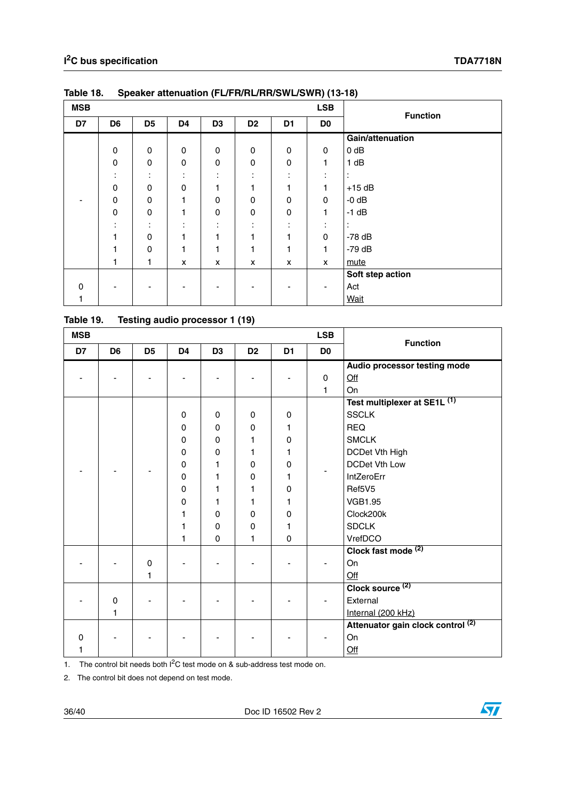| <b>MSB</b> |                |                     |                               |                     |                |                | <b>LSB</b>               | <b>Function</b>  |
|------------|----------------|---------------------|-------------------------------|---------------------|----------------|----------------|--------------------------|------------------|
| D7         | D <sub>6</sub> | D <sub>5</sub>      | D4                            | D <sub>3</sub>      | D <sub>2</sub> | D <sub>1</sub> | D <sub>0</sub>           |                  |
|            |                |                     |                               |                     |                |                |                          | Gain/attenuation |
|            | $\mathbf 0$    | $\mathbf 0$         | 0                             | $\mathbf 0$         | $\pmb{0}$      | $\mathbf 0$    | 0                        | $0$ dB           |
|            | $\Omega$       | $\mathbf 0$         | $\mathbf 0$                   | $\mathbf 0$         | $\pmb{0}$      | 0              | 1                        | 1 dB             |
|            | ٠              | ٠<br>$\blacksquare$ | $\bullet$<br>$\blacksquare$   | ٠<br>$\blacksquare$ | ٠<br>٠.        | ٠<br>٠.        | $\bullet$<br>٠.          | ٠                |
|            | 0              | 0                   | 0                             | 1                   | 1              | 1              | 1                        | $+15$ dB         |
|            | 0              | $\mathbf 0$         | 1                             | $\mathbf 0$         | $\mathbf 0$    | $\mathbf 0$    | 0                        | $-0$ dB          |
|            | $\Omega$       | $\Omega$            | 1                             | $\mathbf 0$         | $\pmb{0}$      | 0              | 1                        | $-1$ dB          |
|            |                | ٠<br>$\blacksquare$ | ٠<br>$\overline{\phantom{a}}$ | ٠<br>$\blacksquare$ | ٠<br>٠.        | ٠<br>٠.        | $\bullet$<br>$\cdot$     | ٠                |
|            |                | 0                   | 1                             |                     | 1              |                | 0                        | $-78$ dB         |
|            |                | $\mathbf 0$         | 1                             | 4                   | 1              | 1              | 1                        | $-79$ dB         |
|            |                | 1                   | X                             | X                   | X              | X              | X                        | mute             |
|            |                |                     |                               |                     |                |                |                          | Soft step action |
| $\Omega$   |                |                     |                               |                     |                |                | $\overline{\phantom{a}}$ | Act              |
|            |                |                     |                               |                     |                |                |                          | <b>Wait</b>      |

<span id="page-35-0"></span>**Table 18. Speaker attenuation (FL/FR/RL/RR/SWL/SWR) (13-18)** 

<span id="page-35-1"></span>**Table 19. Testing audio processor 1 (19)** 

| <b>MSB</b> |                |                |                | <b>LSB</b>     |                |                |                | <b>Function</b>                              |  |  |
|------------|----------------|----------------|----------------|----------------|----------------|----------------|----------------|----------------------------------------------|--|--|
| D7         | D <sub>6</sub> | D <sub>5</sub> | D <sub>4</sub> | D <sub>3</sub> | D <sub>2</sub> | D <sub>1</sub> | D <sub>0</sub> |                                              |  |  |
|            |                |                |                |                |                |                |                | Audio processor testing mode                 |  |  |
|            |                |                |                |                |                |                | 0              | Off                                          |  |  |
|            |                |                |                |                |                |                | 1              | On                                           |  |  |
|            |                |                |                |                |                |                |                | Test multiplexer at SE1L (1)                 |  |  |
|            |                |                | $\mathbf 0$    | $\mathbf 0$    | $\mathbf 0$    | $\mathbf 0$    |                | <b>SSCLK</b>                                 |  |  |
|            |                |                | 0              | 0              | 0              | 1              |                | <b>REQ</b>                                   |  |  |
|            |                |                | 0              | $\mathbf 0$    | 1              | 0              |                | <b>SMCLK</b>                                 |  |  |
|            |                |                | $\mathbf 0$    | $\mathbf 0$    | 1              | 1              |                | DCDet Vth High                               |  |  |
|            |                |                | 0              | 1              | $\pmb{0}$      | 0              |                | <b>DCDet Vth Low</b>                         |  |  |
|            |                |                | 0              | 1              | 0              | 1              |                | IntZeroErr                                   |  |  |
|            |                |                | 0              | 1              | 1              | 0              |                | Ref5V5                                       |  |  |
|            |                |                | 0              | 1              | 1              | 1              |                | <b>VGB1.95</b>                               |  |  |
|            |                |                | 1              | $\mathbf 0$    | 0              | 0              |                | Clock200k                                    |  |  |
|            |                |                | 1              | $\mathbf 0$    | $\pmb{0}$      | 1              |                | <b>SDCLK</b>                                 |  |  |
|            |                |                | 1              | $\mathbf 0$    | 1              | $\mathbf 0$    |                | VrefDCO                                      |  |  |
|            |                |                |                |                |                |                |                | Clock fast mode <sup>(2)</sup>               |  |  |
|            |                | $\mathbf 0$    |                |                |                |                |                | On                                           |  |  |
|            |                | 1              |                |                |                |                |                | Qff                                          |  |  |
|            |                |                |                |                |                |                |                | Clock source <sup>(2)</sup>                  |  |  |
|            | 0              |                |                |                |                |                |                | External                                     |  |  |
|            | 1              |                |                |                |                |                |                | Internal (200 kHz)                           |  |  |
|            |                |                |                |                |                |                |                | Attenuator gain clock control <sup>(2)</sup> |  |  |
| $\Omega$   |                |                |                |                |                |                |                | On                                           |  |  |
| 1          |                |                |                |                |                |                |                | Off                                          |  |  |

1. The control bit needs both  $1^2C$  test mode on & sub-address test mode on.

2. The control bit does not depend on test mode.

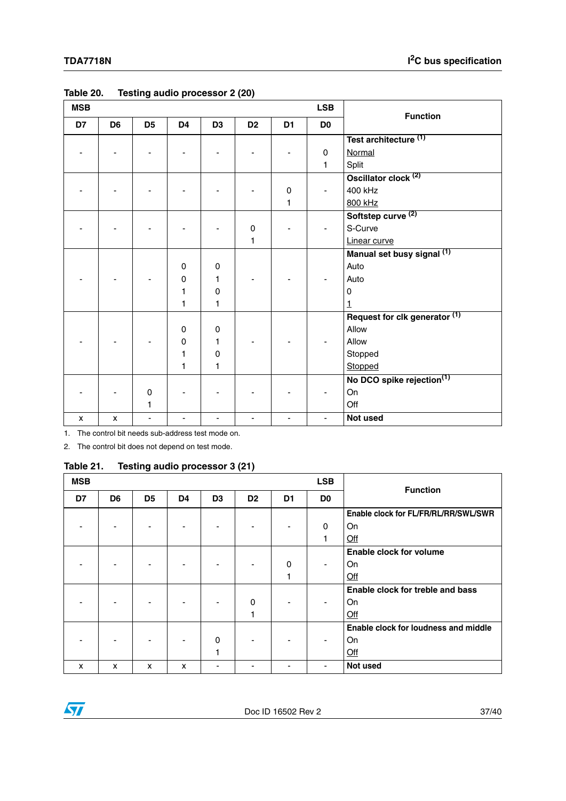| <b>MSB</b> |                |                |                |                |                | <b>LSB</b>     | <b>Function</b> |                                       |
|------------|----------------|----------------|----------------|----------------|----------------|----------------|-----------------|---------------------------------------|
| D7         | D <sub>6</sub> | D <sub>5</sub> | D <sub>4</sub> | D <sub>3</sub> | D <sub>2</sub> | D <sub>1</sub> | D <sub>0</sub>  |                                       |
|            |                |                |                |                |                |                |                 | Test architecture <sup>(1)</sup>      |
|            |                |                |                |                |                |                | $\mathbf 0$     | Normal                                |
|            |                |                |                |                |                |                | 1               | Split                                 |
|            |                |                |                |                |                |                |                 | Oscillator clock <sup>(2)</sup>       |
|            |                |                |                |                |                | $\pmb{0}$      |                 | 400 kHz                               |
|            |                |                |                |                |                | 1              |                 | 800 kHz                               |
|            |                |                |                |                |                |                |                 | Softstep curve <sup>(2)</sup>         |
|            |                |                |                |                | 0              |                |                 | S-Curve                               |
|            |                |                |                |                | 1              |                |                 | Linear curve                          |
|            |                |                |                |                |                |                |                 | Manual set busy signal (1)            |
|            |                |                | 0              | $\mathbf 0$    |                |                |                 | Auto                                  |
|            |                |                | 0              | 1              |                |                |                 | Auto                                  |
|            |                |                | 1              | $\pmb{0}$      |                |                |                 | 0                                     |
|            |                |                | 1              | 1              |                |                |                 | 1                                     |
|            |                |                |                |                |                |                |                 | Request for clk generator (1)         |
|            |                |                | 0              | 0              |                |                |                 | Allow                                 |
|            |                |                | 0              | 1              |                |                |                 | Allow                                 |
|            |                |                | 1              | 0              |                |                |                 | Stopped                               |
|            |                |                | 1              | 1              |                |                |                 | Stopped                               |
|            |                |                |                |                |                |                |                 | No DCO spike rejection <sup>(1)</sup> |
|            |                | 0              |                |                |                |                |                 | On                                    |
|            |                | 1              |                |                |                |                |                 | Off                                   |
| x          | X              |                |                |                |                |                |                 | Not used                              |

#### <span id="page-36-0"></span>**Table 20. Testing audio processor 2 (20)**

1. The control bit needs sub-address test mode on.

2. The control bit does not depend on test mode.

#### <span id="page-36-1"></span>**Table 21. Testing audio processor 3 (21)**

| <b>MSB</b> |                |                |                          |                |                |                | <b>LSB</b>     | <b>Function</b>                      |
|------------|----------------|----------------|--------------------------|----------------|----------------|----------------|----------------|--------------------------------------|
| D7         | D <sub>6</sub> | D <sub>5</sub> | D <sub>4</sub>           | D <sub>3</sub> | D <sub>2</sub> | D <sub>1</sub> | D <sub>0</sub> |                                      |
|            |                |                |                          |                |                |                |                | Enable clock for FL/FR/RL/RR/SWL/SWR |
|            |                |                | ۰                        |                |                | ۰              | 0              | On                                   |
|            |                |                |                          |                |                |                | 1              | Off                                  |
|            |                |                |                          |                |                |                |                | Enable clock for volume              |
|            |                |                |                          |                |                | 0              |                | On                                   |
|            |                |                |                          |                |                |                |                | Qff                                  |
|            |                |                |                          |                |                |                |                | Enable clock for treble and bass     |
|            |                |                |                          |                | 0              |                |                | On                                   |
|            |                |                |                          |                |                |                |                | Qff                                  |
|            |                |                |                          |                |                |                |                | Enable clock for loudness and middle |
|            |                |                | $\overline{\phantom{a}}$ | 0              |                |                |                | On                                   |
|            |                |                |                          |                |                |                |                | Qff                                  |
| X          | x              | x              | X                        |                |                |                |                | Not used                             |

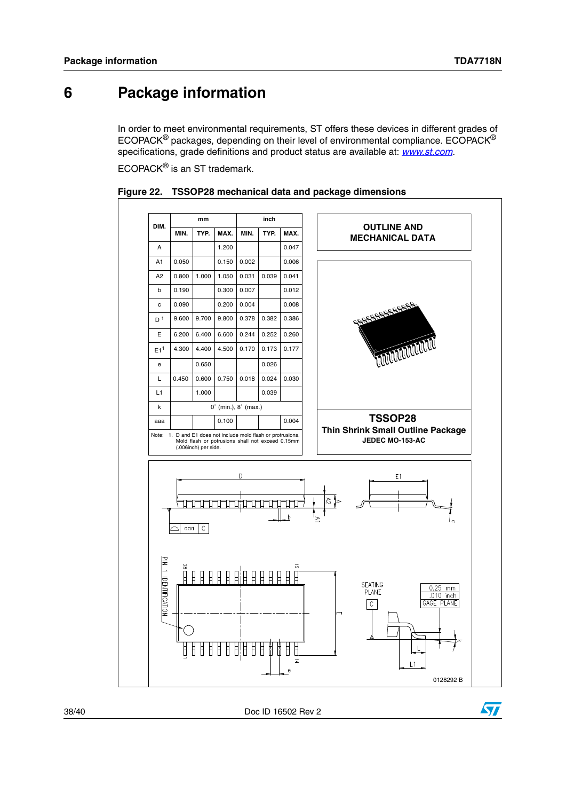# <span id="page-37-0"></span>**6 Package information**

In order to meet environmental requirements, ST offers these devices in different grades of ECOPACK® packages, depending on their level of environmental compliance. ECOPACK® specifications, grade definitions and product status are available at: *[www.st.com](http://www.st.com)*.

ECOPACK® is an ST trademark.



<span id="page-37-1"></span>

38/40 Doc ID 16502 Rev 2

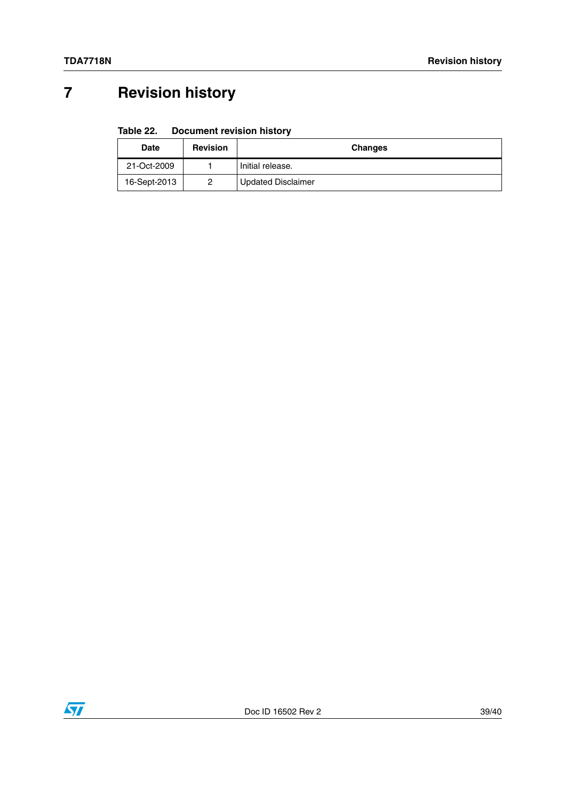# <span id="page-38-0"></span>**7 Revision history**

#### <span id="page-38-1"></span>Table 22. **Document revision history**

| <b>Date</b>  | <b>Revision</b> | <b>Changes</b>            |  |  |  |  |
|--------------|-----------------|---------------------------|--|--|--|--|
| 21-Oct-2009  |                 | Initial release.          |  |  |  |  |
| 16-Sept-2013 | 2               | <b>Updated Disclaimer</b> |  |  |  |  |